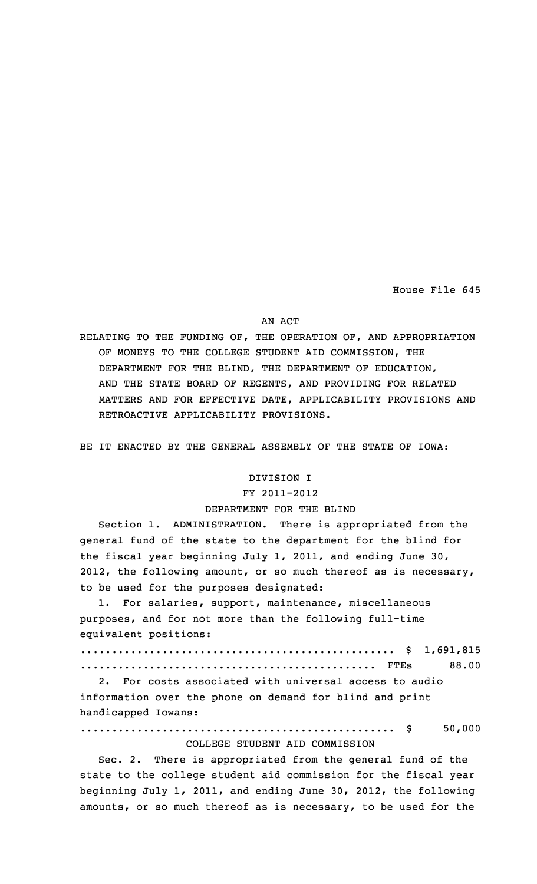House File 645

#### AN ACT

RELATING TO THE FUNDING OF, THE OPERATION OF, AND APPROPRIATION OF MONEYS TO THE COLLEGE STUDENT AID COMMISSION, THE DEPARTMENT FOR THE BLIND, THE DEPARTMENT OF EDUCATION, AND THE STATE BOARD OF REGENTS, AND PROVIDING FOR RELATED MATTERS AND FOR EFFECTIVE DATE, APPLICABILITY PROVISIONS AND RETROACTIVE APPLICABILITY PROVISIONS.

BE IT ENACTED BY THE GENERAL ASSEMBLY OF THE STATE OF IOWA:

### DIVISION I

#### FY 2011-2012

#### DEPARTMENT FOR THE BLIND

Section 1. ADMINISTRATION. There is appropriated from the general fund of the state to the department for the blind for the fiscal year beginning July 1, 2011, and ending June 30, 2012, the following amount, or so much thereof as is necessary, to be used for the purposes designated:

1. For salaries, support, maintenance, miscellaneous purposes, and for not more than the following full-time equivalent positions:

|  | 88.00 |
|--|-------|

2. For costs associated with universal access to audio information over the phone on demand for blind and print handicapped Iowans:

.................................................. \$ 50,000 COLLEGE STUDENT AID COMMISSION

Sec. 2. There is appropriated from the general fund of the state to the college student aid commission for the fiscal year beginning July 1, 2011, and ending June 30, 2012, the following amounts, or so much thereof as is necessary, to be used for the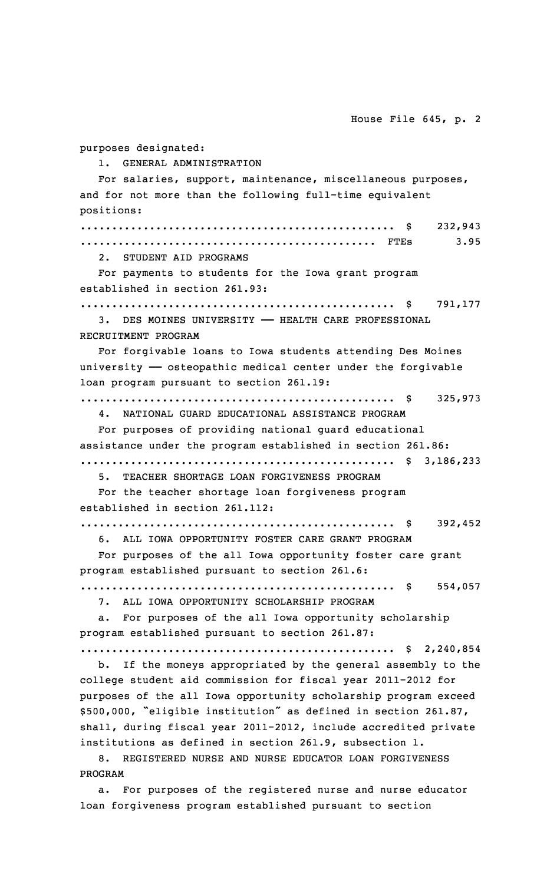House File 645, p. 2 purposes designated: 1. GENERAL ADMINISTRATION For salaries, support, maintenance, miscellaneous purposes, and for not more than the following full-time equivalent positions: .................................................. \$ 232,943 ............................................... FTEs 3.95 2. STUDENT AID PROGRAMS For payments to students for the Iowa grant program established in section 261.93: .................................................. \$ 791,177 3. DES MOINES UNIVERSITY —— HEALTH CARE PROFESSIONAL RECRUITMENT PROGRAM For forgivable loans to Iowa students attending Des Moines university  $-$  osteopathic medical center under the forgivable loan program pursuant to section 261.19: .................................................. \$ 325,973 4. NATIONAL GUARD EDUCATIONAL ASSISTANCE PROGRAM For purposes of providing national guard educational assistance under the program established in section 261.86: .................................................. \$ 3,186,233 TEACHER SHORTAGE LOAN FORGIVENESS PROGRAM For the teacher shortage loan forgiveness program established in section 261.112: .................................................. \$ 392,452 6. ALL IOWA OPPORTUNITY FOSTER CARE GRANT PROGRAM For purposes of the all Iowa opportunity foster care grant program established pursuant to section 261.6: .................................................. \$ 554,057 7. ALL IOWA OPPORTUNITY SCHOLARSHIP PROGRAM a. For purposes of the all Iowa opportunity scholarship program established pursuant to section 261.87: .................................................. \$ 2,240,854 b. If the moneys appropriated by the general assembly to the college student aid commission for fiscal year 2011-2012 for purposes of the all Iowa opportunity scholarship program exceed \$500,000, "eligible institution" as defined in section 261.87, shall, during fiscal year 2011-2012, include accredited private institutions as defined in section 261.9, subsection 1.

8. REGISTERED NURSE AND NURSE EDUCATOR LOAN FORGIVENESS PROGRAM

a. For purposes of the registered nurse and nurse educator loan forgiveness program established pursuant to section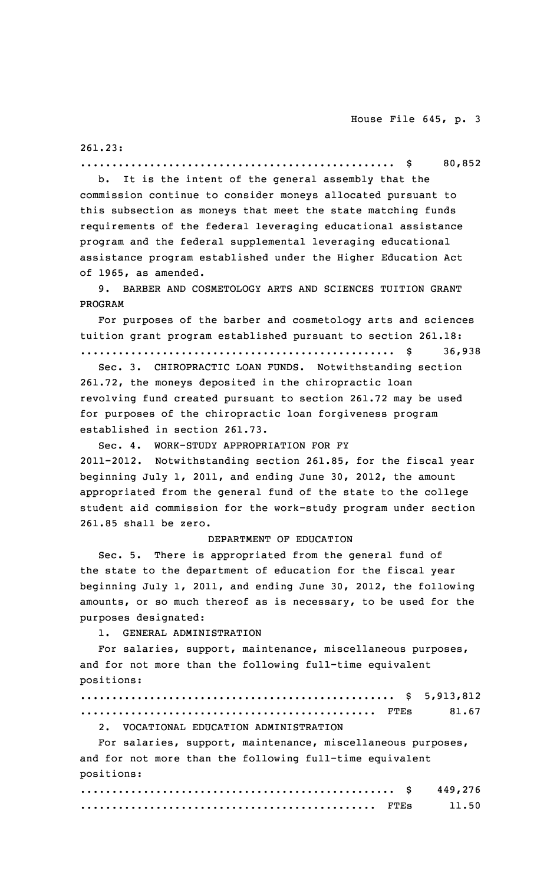261.23:

.................................................. \$ 80,852 b. It is the intent of the general assembly that the

commission continue to consider moneys allocated pursuant to this subsection as moneys that meet the state matching funds requirements of the federal leveraging educational assistance program and the federal supplemental leveraging educational assistance program established under the Higher Education Act of 1965, as amended.

9. BARBER AND COSMETOLOGY ARTS AND SCIENCES TUITION GRANT PROGRAM

For purposes of the barber and cosmetology arts and sciences tuition grant program established pursuant to section 261.18: .................................................. \$ 36,938

Sec. 3. CHIROPRACTIC LOAN FUNDS. Notwithstanding section 261.72, the moneys deposited in the chiropractic loan revolving fund created pursuant to section 261.72 may be used for purposes of the chiropractic loan forgiveness program established in section 261.73.

Sec. 4. WORK-STUDY APPROPRIATION FOR FY 2011-2012. Notwithstanding section 261.85, for the fiscal year beginning July 1, 2011, and ending June 30, 2012, the amount appropriated from the general fund of the state to the college student aid commission for the work-study program under section 261.85 shall be zero.

#### DEPARTMENT OF EDUCATION

Sec. 5. There is appropriated from the general fund of the state to the department of education for the fiscal year beginning July 1, 2011, and ending June 30, 2012, the following amounts, or so much thereof as is necessary, to be used for the purposes designated:

1. GENERAL ADMINISTRATION

For salaries, support, maintenance, miscellaneous purposes, and for not more than the following full-time equivalent positions:

| 2. VOCATIONAL EDUCATION ADMINISTRATION |  |
|----------------------------------------|--|

For salaries, support, maintenance, miscellaneous purposes, and for not more than the following full-time equivalent positions:

|  | 449,276 |
|--|---------|
|  | 11.50   |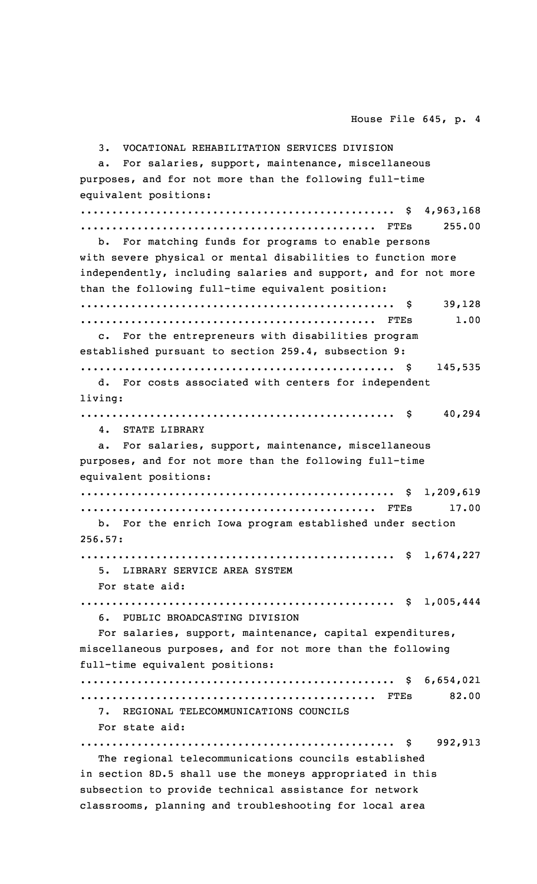3. VOCATIONAL REHABILITATION SERVICES DIVISION a. For salaries, support, maintenance, miscellaneous purposes, and for not more than the following full-time equivalent positions: .................................................. \$ 4,963,168 ............................................... FTEs 255.00 b. For matching funds for programs to enable persons with severe physical or mental disabilities to function more independently, including salaries and support, and for not more than the following full-time equivalent position: .................................................. \$ 39,128 ............................................... FTEs 1.00 c. For the entrepreneurs with disabilities program established pursuant to section 259.4, subsection 9: .................................................. \$ 145,535 d. For costs associated with centers for independent living: .................................................. \$ 40,294 4. STATE LIBRARY a. For salaries, support, maintenance, miscellaneous purposes, and for not more than the following full-time equivalent positions: .................................................. \$ 1,209,619 ............................................... FTEs 17.00 b. For the enrich Iowa program established under section 256.57: .................................................. \$ 1,674,227 5. LIBRARY SERVICE AREA SYSTEM For state aid: .................................................. \$ 1,005,444 6. PUBLIC BROADCASTING DIVISION For salaries, support, maintenance, capital expenditures, miscellaneous purposes, and for not more than the following full-time equivalent positions: .................................................. \$ 6,654,021 ............................................... FTEs 82.00 7. REGIONAL TELECOMMUNICATIONS COUNCILS For state aid: .................................................. \$ 992,913 The regional telecommunications councils established in section 8D.5 shall use the moneys appropriated in this subsection to provide technical assistance for network

classrooms, planning and troubleshooting for local area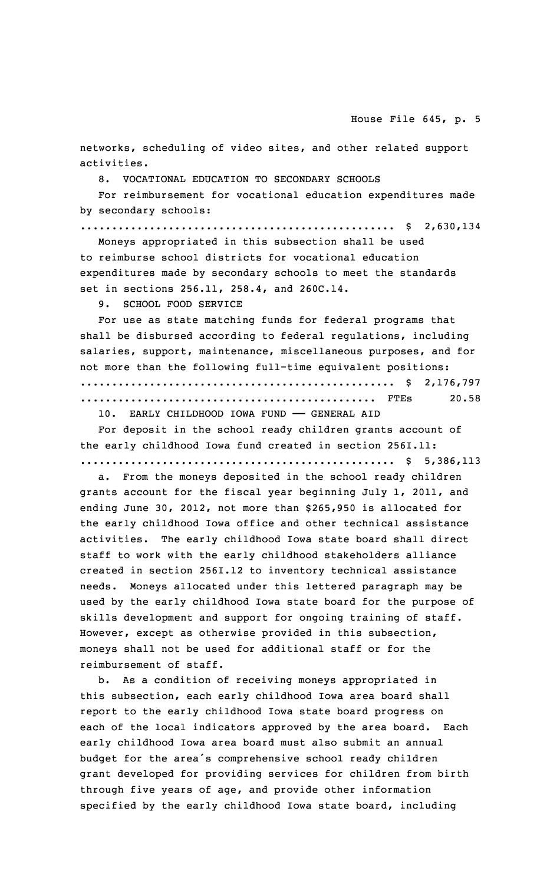networks, scheduling of video sites, and other related support activities.

8. VOCATIONAL EDUCATION TO SECONDARY SCHOOLS

For reimbursement for vocational education expenditures made by secondary schools:

.................................................. \$ 2,630,134

Moneys appropriated in this subsection shall be used to reimburse school districts for vocational education expenditures made by secondary schools to meet the standards set in sections 256.11, 258.4, and 260C.14.

9. SCHOOL FOOD SERVICE

For use as state matching funds for federal programs that shall be disbursed according to federal regulations, including salaries, support, maintenance, miscellaneous purposes, and for not more than the following full-time equivalent positions: .................................................. \$ 2,176,797 ............................................... FTEs 20.58 10. EARLY CHILDHOOD IOWA FUND —— GENERAL AID

For deposit in the school ready children grants account of the early childhood Iowa fund created in section 256I.11: .................................................. \$ 5,386,113

a. From the moneys deposited in the school ready children grants account for the fiscal year beginning July 1, 2011, and ending June 30, 2012, not more than \$265,950 is allocated for the early childhood Iowa office and other technical assistance activities. The early childhood Iowa state board shall direct staff to work with the early childhood stakeholders alliance created in section 256I.12 to inventory technical assistance needs. Moneys allocated under this lettered paragraph may be used by the early childhood Iowa state board for the purpose of skills development and support for ongoing training of staff. However, except as otherwise provided in this subsection, moneys shall not be used for additional staff or for the reimbursement of staff.

b. As <sup>a</sup> condition of receiving moneys appropriated in this subsection, each early childhood Iowa area board shall report to the early childhood Iowa state board progress on each of the local indicators approved by the area board. Each early childhood Iowa area board must also submit an annual budget for the area's comprehensive school ready children grant developed for providing services for children from birth through five years of age, and provide other information specified by the early childhood Iowa state board, including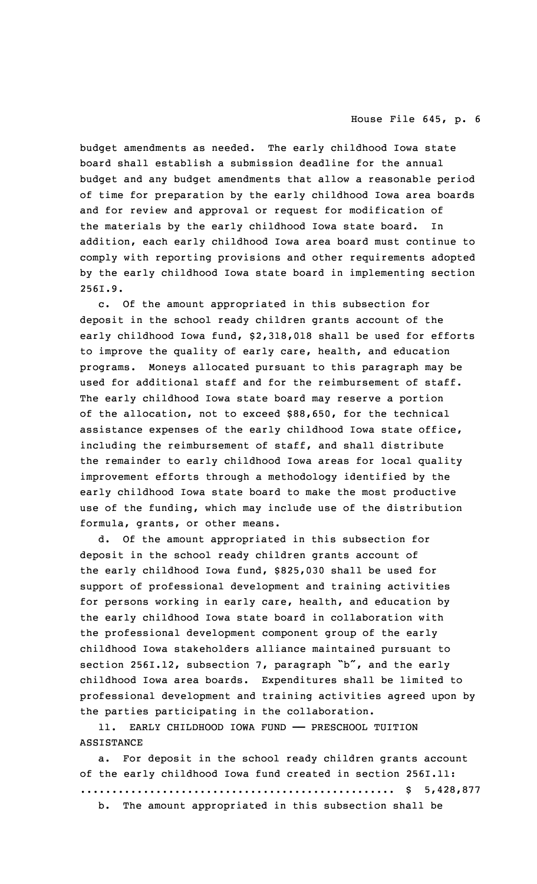budget amendments as needed. The early childhood Iowa state board shall establish <sup>a</sup> submission deadline for the annual budget and any budget amendments that allow <sup>a</sup> reasonable period of time for preparation by the early childhood Iowa area boards and for review and approval or request for modification of the materials by the early childhood Iowa state board. In addition, each early childhood Iowa area board must continue to comply with reporting provisions and other requirements adopted by the early childhood Iowa state board in implementing section 256I.9.

c. Of the amount appropriated in this subsection for deposit in the school ready children grants account of the early childhood Iowa fund, \$2,318,018 shall be used for efforts to improve the quality of early care, health, and education programs. Moneys allocated pursuant to this paragraph may be used for additional staff and for the reimbursement of staff. The early childhood Iowa state board may reserve <sup>a</sup> portion of the allocation, not to exceed \$88,650, for the technical assistance expenses of the early childhood Iowa state office, including the reimbursement of staff, and shall distribute the remainder to early childhood Iowa areas for local quality improvement efforts through <sup>a</sup> methodology identified by the early childhood Iowa state board to make the most productive use of the funding, which may include use of the distribution formula, grants, or other means.

d. Of the amount appropriated in this subsection for deposit in the school ready children grants account of the early childhood Iowa fund, \$825,030 shall be used for support of professional development and training activities for persons working in early care, health, and education by the early childhood Iowa state board in collaboration with the professional development component group of the early childhood Iowa stakeholders alliance maintained pursuant to section 256I.12, subsection 7, paragraph "b", and the early childhood Iowa area boards. Expenditures shall be limited to professional development and training activities agreed upon by the parties participating in the collaboration.

11. EARLY CHILDHOOD IOWA FUND —— PRESCHOOL TUITION ASSISTANCE

a. For deposit in the school ready children grants account of the early childhood Iowa fund created in section 256I.11: .................................................. \$ 5,428,877 b. The amount appropriated in this subsection shall be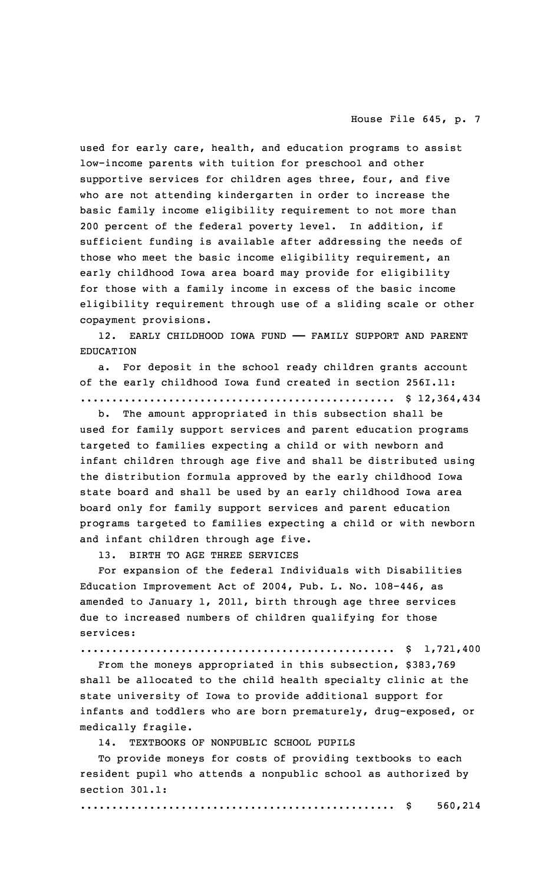used for early care, health, and education programs to assist low-income parents with tuition for preschool and other supportive services for children ages three, four, and five who are not attending kindergarten in order to increase the basic family income eligibility requirement to not more than 200 percent of the federal poverty level. In addition, if sufficient funding is available after addressing the needs of those who meet the basic income eligibility requirement, an early childhood Iowa area board may provide for eligibility for those with <sup>a</sup> family income in excess of the basic income eligibility requirement through use of <sup>a</sup> sliding scale or other copayment provisions.

12. EARLY CHILDHOOD IOWA FUND —— FAMILY SUPPORT AND PARENT EDUCATION

a. For deposit in the school ready children grants account of the early childhood Iowa fund created in section 256I.11: .................................................. \$ 12,364,434

b. The amount appropriated in this subsection shall be used for family support services and parent education programs targeted to families expecting <sup>a</sup> child or with newborn and infant children through age five and shall be distributed using the distribution formula approved by the early childhood Iowa state board and shall be used by an early childhood Iowa area board only for family support services and parent education programs targeted to families expecting <sup>a</sup> child or with newborn and infant children through age five.

13. BIRTH TO AGE THREE SERVICES

For expansion of the federal Individuals with Disabilities Education Improvement Act of 2004, Pub. L. No. 108-446, as amended to January 1, 2011, birth through age three services due to increased numbers of children qualifying for those services:

.................................................. \$ 1,721,400

From the moneys appropriated in this subsection, \$383,769 shall be allocated to the child health specialty clinic at the state university of Iowa to provide additional support for infants and toddlers who are born prematurely, drug-exposed, or medically fragile.

14. TEXTBOOKS OF NONPUBLIC SCHOOL PUPILS

To provide moneys for costs of providing textbooks to each resident pupil who attends <sup>a</sup> nonpublic school as authorized by section 301.1:

.................................................. \$ 560,214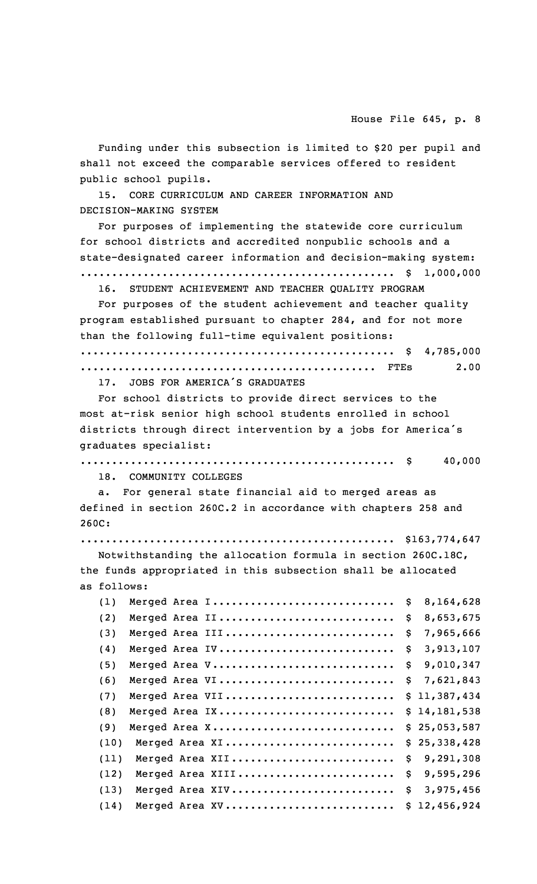Funding under this subsection is limited to \$20 per pupil and shall not exceed the comparable services offered to resident public school pupils.

15. CORE CURRICULUM AND CAREER INFORMATION AND DECISION-MAKING SYSTEM

For purposes of implementing the statewide core curriculum for school districts and accredited nonpublic schools and <sup>a</sup> state-designated career information and decision-making system: .................................................. \$ 1,000,000

16. STUDENT ACHIEVEMENT AND TEACHER QUALITY PROGRAM

For purposes of the student achievement and teacher quality program established pursuant to chapter 284, and for not more than the following full-time equivalent positions:

.................................................. \$ 4,785,000 ............................................... FTEs 2.00

17. JOBS FOR AMERICA'S GRADUATES

For school districts to provide direct services to the most at-risk senior high school students enrolled in school districts through direct intervention by <sup>a</sup> jobs for America's graduates specialist:

.................................................. \$ 40,000

18. COMMUNITY COLLEGES

a. For general state financial aid to merged areas as defined in section 260C.2 in accordance with chapters 258 and 260C:

.................................................. \$163,774,647

Notwithstanding the allocation formula in section 260C.18C, the funds appropriated in this subsection shall be allocated as follows:

| (1)  | Merged Area I \$ | 8,164,628       |
|------|------------------|-----------------|
| (2)  | Merged Area II   | \$<br>8,653,675 |
| (3)  | Merged Area III  | \$<br>7,965,666 |
| (4)  | Merged Area IV   | \$<br>3,913,107 |
| (5)  | Merged Area V    | \$<br>9,010,347 |
| (6)  | Merged Area VI   | \$<br>7,621,843 |
| (7)  | Merged Area VII  | \$11,387,434    |
| (8)  | Merged Area IX   | \$14,181,538    |
| (9)  | Merged Area X    | \$25,053,587    |
| (10) | Merged Area XI   | \$25,338,428    |
| (11) | Merged Area XII  | \$<br>9,291,308 |
| (12) | Merged Area XIII | \$<br>9,595,296 |
| (13) | Merged Area XIV  | \$<br>3,975,456 |
| (14) | Merged Area XV   | \$12,456,924    |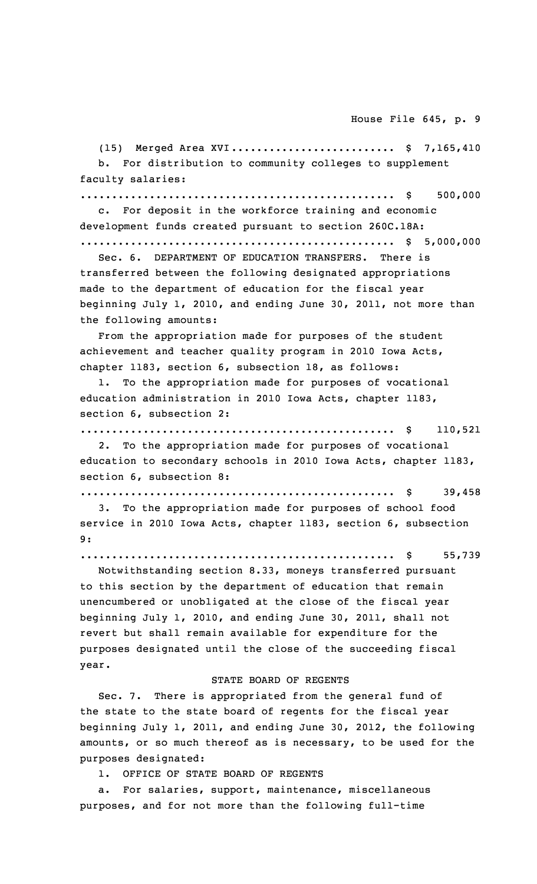(15) Merged Area XVI............................. \$ 7,165,410 b. For distribution to community colleges to supplement faculty salaries:

.................................................. \$ 500,000

c. For deposit in the workforce training and economic development funds created pursuant to section 260C.18A: .................................................. \$ 5,000,000

Sec. 6. DEPARTMENT OF EDUCATION TRANSFERS. There is transferred between the following designated appropriations made to the department of education for the fiscal year beginning July 1, 2010, and ending June 30, 2011, not more than the following amounts:

From the appropriation made for purposes of the student achievement and teacher quality program in 2010 Iowa Acts, chapter 1183, section 6, subsection 18, as follows:

To the appropriation made for purposes of vocational education administration in 2010 Iowa Acts, chapter 1183, section 6, subsection 2:

.................................................. \$ 110,521

2. To the appropriation made for purposes of vocational education to secondary schools in 2010 Iowa Acts, chapter 1183, section 6, subsection 8:

.................................................. \$ 39,458

3. To the appropriation made for purposes of school food service in 2010 Iowa Acts, chapter 1183, section 6, subsection 9:

.................................................. \$ 55,739

Notwithstanding section 8.33, moneys transferred pursuant to this section by the department of education that remain unencumbered or unobligated at the close of the fiscal year beginning July 1, 2010, and ending June 30, 2011, shall not revert but shall remain available for expenditure for the purposes designated until the close of the succeeding fiscal year.

#### STATE BOARD OF REGENTS

Sec. 7. There is appropriated from the general fund of the state to the state board of regents for the fiscal year beginning July 1, 2011, and ending June 30, 2012, the following amounts, or so much thereof as is necessary, to be used for the purposes designated:

1. OFFICE OF STATE BOARD OF REGENTS

a. For salaries, support, maintenance, miscellaneous purposes, and for not more than the following full-time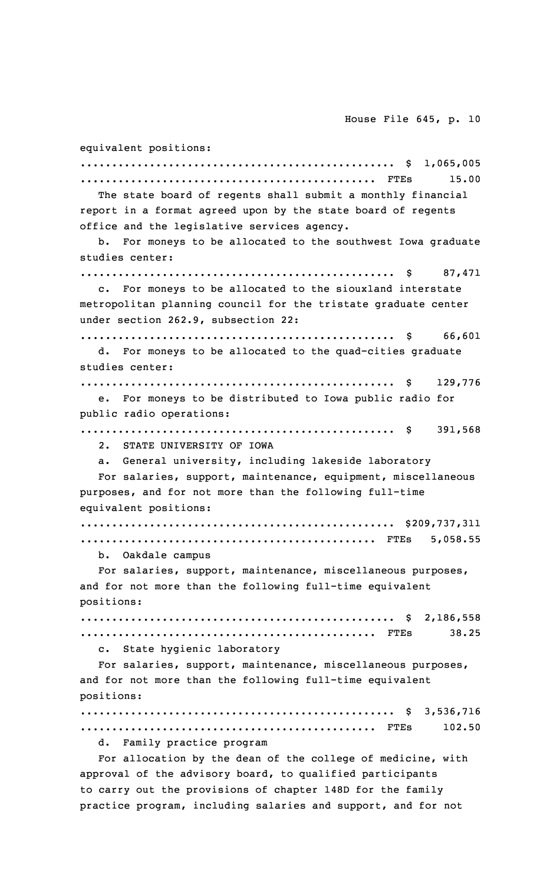equivalent positions: .................................................. \$ 1,065,005 ............................................... FTEs 15.00 The state board of regents shall submit <sup>a</sup> monthly financial report in <sup>a</sup> format agreed upon by the state board of regents office and the legislative services agency. b. For moneys to be allocated to the southwest Iowa graduate studies center: .................................................. \$ 87,471 c. For moneys to be allocated to the siouxland interstate metropolitan planning council for the tristate graduate center under section 262.9, subsection 22: .................................................. \$ 66,601 d. For moneys to be allocated to the quad-cities graduate studies center: .................................................. \$ 129,776 e. For moneys to be distributed to Iowa public radio for public radio operations: .................................................. \$ 391,568 2. STATE UNIVERSITY OF IOWA a. General university, including lakeside laboratory For salaries, support, maintenance, equipment, miscellaneous purposes, and for not more than the following full-time equivalent positions: .................................................. \$209,737,311 ............................................... FTEs 5,058.55 b. Oakdale campus For salaries, support, maintenance, miscellaneous purposes, and for not more than the following full-time equivalent positions: .................................................. \$ 2,186,558 ............................................... FTEs 38.25 c. State hygienic laboratory For salaries, support, maintenance, miscellaneous purposes, and for not more than the following full-time equivalent positions: .................................................. \$ 3,536,716 ............................................... FTEs 102.50 d. Family practice program For allocation by the dean of the college of medicine, with approval of the advisory board, to qualified participants

to carry out the provisions of chapter 148D for the family practice program, including salaries and support, and for not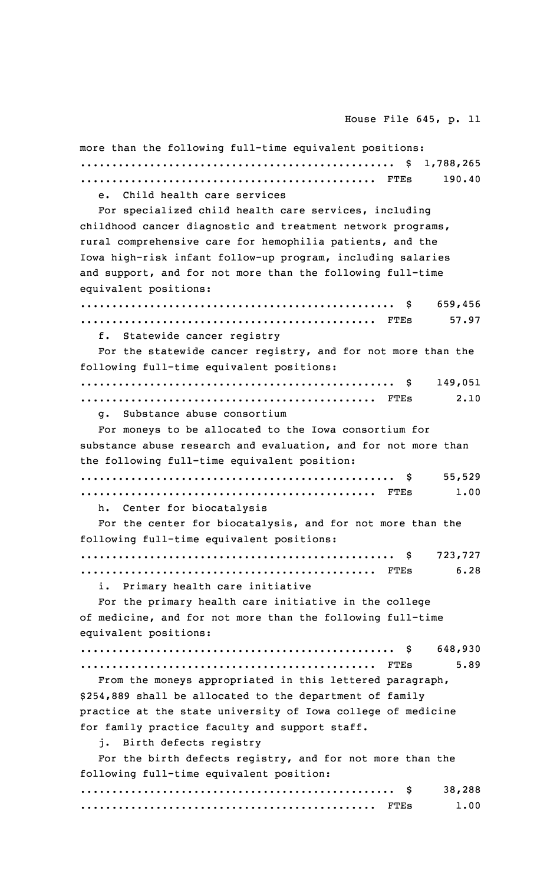| more than the following full-time equivalent positions:        |
|----------------------------------------------------------------|
|                                                                |
| 190.40                                                         |
| e. Child health care services                                  |
| For specialized child health care services, including          |
| childhood cancer diagnostic and treatment network programs,    |
| rural comprehensive care for hemophilia patients, and the      |
| Iowa high-risk infant follow-up program, including salaries    |
| and support, and for not more than the following full-time     |
| equivalent positions:                                          |
| 659,456<br>S.                                                  |
| 57.97                                                          |
| f. Statewide cancer registry                                   |
| For the statewide cancer registry, and for not more than the   |
| following full-time equivalent positions:                      |
| 149,051                                                        |
| 2.10                                                           |
| g. Substance abuse consortium                                  |
| For moneys to be allocated to the Iowa consortium for          |
| substance abuse research and evaluation, and for not more than |
| the following full-time equivalent position:                   |
| 55,529                                                         |
| 1.00                                                           |
| h. Center for biocatalysis                                     |
| For the center for biocatalysis, and for not more than the     |
| following full-time equivalent positions:                      |
|                                                                |
| 6.28                                                           |
| i. Primary health care initiative                              |
| For the primary health care initiative in the college          |
| of medicine, and for not more than the following full-time     |
| equivalent positions:                                          |
| 648,930<br>S S                                                 |
| 5.89                                                           |
|                                                                |
| From the moneys appropriated in this lettered paragraph,       |
| \$254,889 shall be allocated to the department of family       |
| practice at the state university of Iowa college of medicine   |
| for family practice faculty and support staff.                 |
| j. Birth defects registry                                      |
| For the birth defects registry, and for not more than the      |
| following full-time equivalent position:                       |
| 38,288                                                         |
| 1.00                                                           |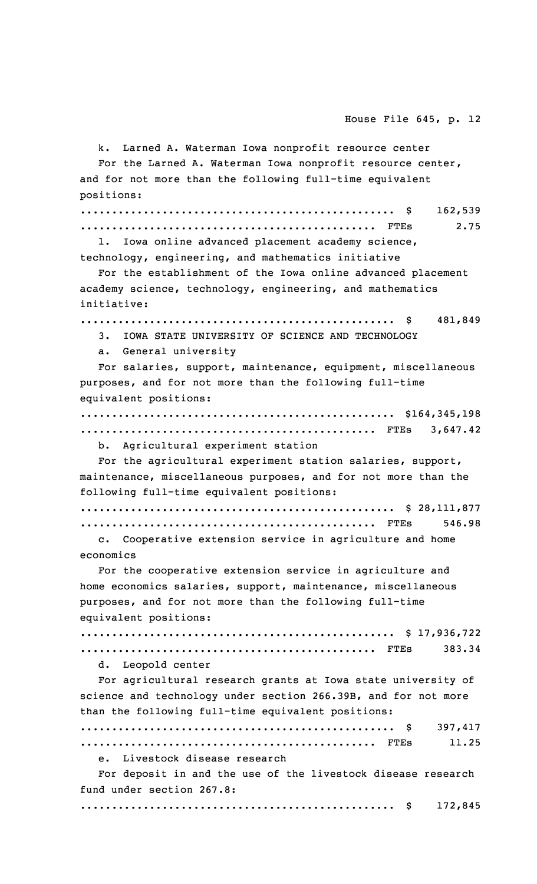k. Larned A. Waterman Iowa nonprofit resource center For the Larned A. Waterman Iowa nonprofit resource center, and for not more than the following full-time equivalent positions: .................................................. \$ 162,539 ............................................... FTEs 2.75 l. Iowa online advanced placement academy science, technology, engineering, and mathematics initiative For the establishment of the Iowa online advanced placement academy science, technology, engineering, and mathematics initiative: .................................................. \$ 481,849 3. IOWA STATE UNIVERSITY OF SCIENCE AND TECHNOLOGY a. General university For salaries, support, maintenance, equipment, miscellaneous purposes, and for not more than the following full-time equivalent positions: .................................................. \$164,345,198 ............................................... FTEs 3,647.42 b. Agricultural experiment station For the agricultural experiment station salaries, support, maintenance, miscellaneous purposes, and for not more than the following full-time equivalent positions: .................................................. \$ 28,111,877 ............................................... FTEs 546.98 c. Cooperative extension service in agriculture and home economics For the cooperative extension service in agriculture and home economics salaries, support, maintenance, miscellaneous purposes, and for not more than the following full-time equivalent positions: .................................................. \$ 17,936,722 ............................................... FTEs 383.34 d. Leopold center For agricultural research grants at Iowa state university of science and technology under section 266.39B, and for not more than the following full-time equivalent positions: .................................................. \$ 397,417 ............................................... FTEs 11.25 e. Livestock disease research For deposit in and the use of the livestock disease research fund under section 267.8: .................................................. \$ 172,845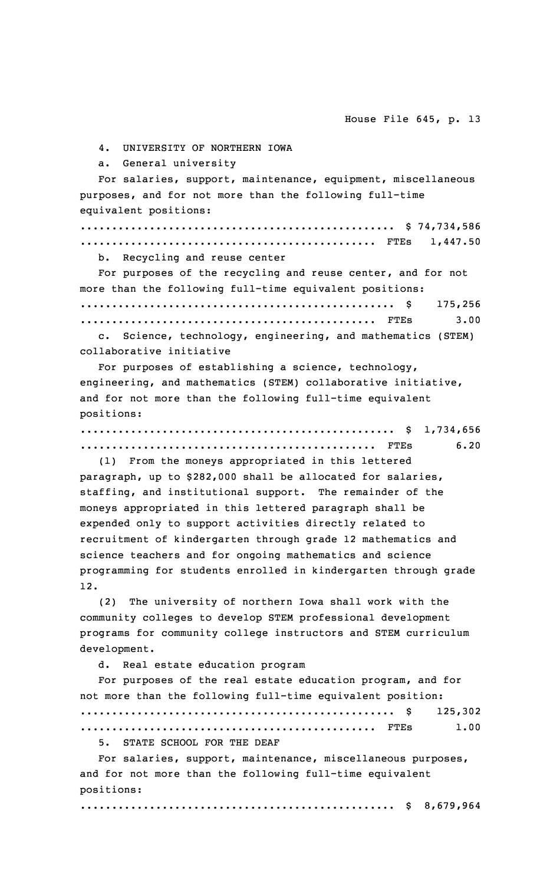4. UNIVERSITY OF NORTHERN IOWA

a. General university

For salaries, support, maintenance, equipment, miscellaneous purposes, and for not more than the following full-time equivalent positions:

.................................................. \$ 74,734,586 ............................................... FTEs 1,447.50

b. Recycling and reuse center

For purposes of the recycling and reuse center, and for not more than the following full-time equivalent positions: .................................................. \$ 175,256 ............................................... FTEs 3.00

c. Science, technology, engineering, and mathematics (STEM) collaborative initiative

For purposes of establishing <sup>a</sup> science, technology, engineering, and mathematics (STEM) collaborative initiative, and for not more than the following full-time equivalent positions:

.................................................. \$ 1,734,656 ............................................... FTEs 6.20

(1) From the moneys appropriated in this lettered paragraph, up to \$282,000 shall be allocated for salaries, staffing, and institutional support. The remainder of the moneys appropriated in this lettered paragraph shall be expended only to support activities directly related to recruitment of kindergarten through grade 12 mathematics and science teachers and for ongoing mathematics and science programming for students enrolled in kindergarten through grade 12.

(2) The university of northern Iowa shall work with the community colleges to develop STEM professional development programs for community college instructors and STEM curriculum development.

d. Real estate education program

For purposes of the real estate education program, and for not more than the following full-time equivalent position: .................................................. \$ 125,302 ............................................... FTEs 1.00

5. STATE SCHOOL FOR THE DEAF

For salaries, support, maintenance, miscellaneous purposes, and for not more than the following full-time equivalent positions:

.................................................. \$ 8,679,964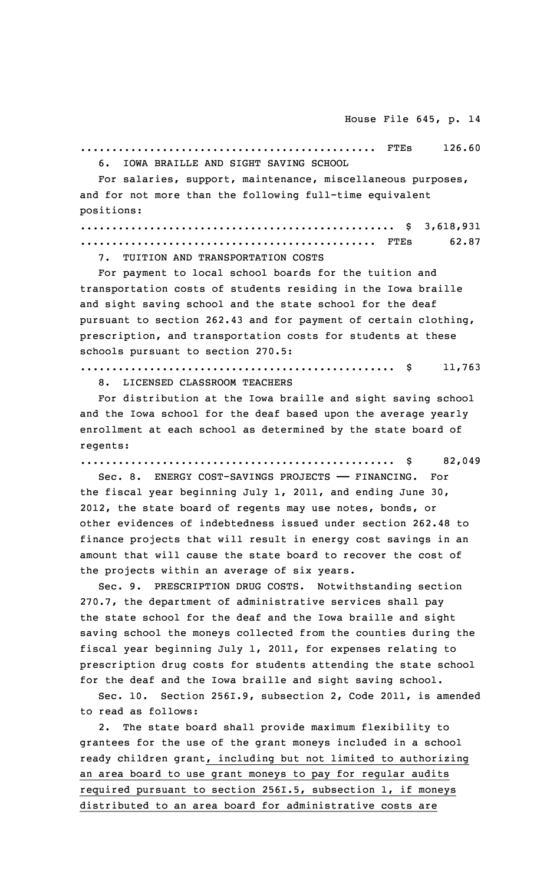............................................... FTEs 126.60 6. IOWA BRAILLE AND SIGHT SAVING SCHOOL

For salaries, support, maintenance, miscellaneous purposes, and for not more than the following full-time equivalent positions:

.................................................. \$ 3,618,931 ............................................... FTEs 62.87

7. TUITION AND TRANSPORTATION COSTS

For payment to local school boards for the tuition and transportation costs of students residing in the Iowa braille and sight saving school and the state school for the deaf pursuant to section 262.43 and for payment of certain clothing, prescription, and transportation costs for students at these schools pursuant to section 270.5:

.................................................. \$ 11,763 8. LICENSED CLASSROOM TEACHERS

For distribution at the Iowa braille and sight saving school and the Iowa school for the deaf based upon the average yearly enrollment at each school as determined by the state board of regents:

.................................................. \$ 82,049

Sec. 8. ENERGY COST-SAVINGS PROJECTS —— FINANCING. For the fiscal year beginning July 1, 2011, and ending June 30, 2012, the state board of regents may use notes, bonds, or other evidences of indebtedness issued under section 262.48 to finance projects that will result in energy cost savings in an amount that will cause the state board to recover the cost of the projects within an average of six years.

Sec. 9. PRESCRIPTION DRUG COSTS. Notwithstanding section 270.7, the department of administrative services shall pay the state school for the deaf and the Iowa braille and sight saving school the moneys collected from the counties during the fiscal year beginning July 1, 2011, for expenses relating to prescription drug costs for students attending the state school for the deaf and the Iowa braille and sight saving school.

Sec. 10. Section 256I.9, subsection 2, Code 2011, is amended to read as follows:

2. The state board shall provide maximum flexibility to grantees for the use of the grant moneys included in <sup>a</sup> school ready children grant, including but not limited to authorizing an area board to use grant moneys to pay for regular audits required pursuant to section 256I.5, subsection 1, if moneys distributed to an area board for administrative costs are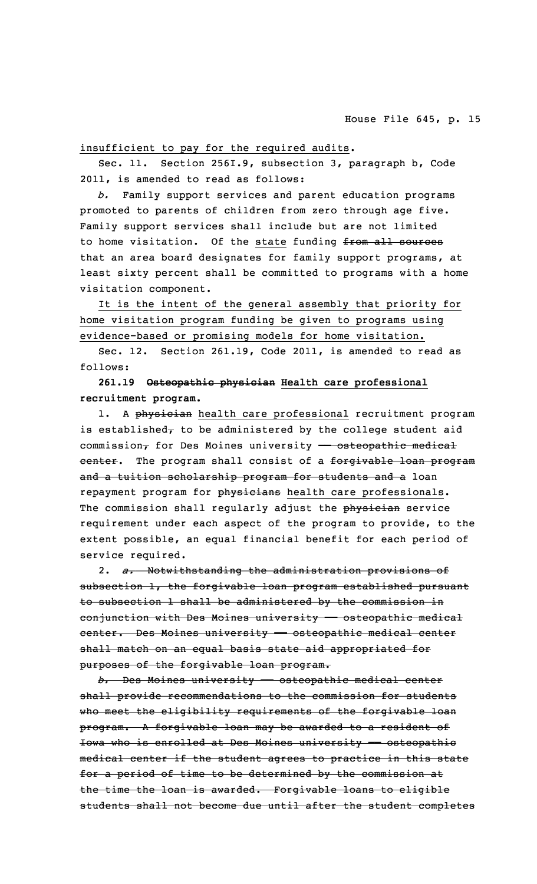# insufficient to pay for the required audits.

Sec. 11. Section 256I.9, subsection 3, paragraph b, Code 2011, is amended to read as follows:

*b.* Family support services and parent education programs promoted to parents of children from zero through age five. Family support services shall include but are not limited to home visitation. Of the state funding from all sources that an area board designates for family support programs, at least sixty percent shall be committed to programs with <sup>a</sup> home visitation component.

It is the intent of the general assembly that priority for home visitation program funding be given to programs using evidence-based or promising models for home visitation.

Sec. 12. Section 261.19, Code 2011, is amended to read as follows:

**261.19 Osteopathic physician Health care professional recruitment program.**

1. A physician health care professional recruitment program is established $_{\tau}$  to be administered by the college student aid commission $<sub>\tau</sub>$  for Des Moines university - osteopathic medical</sub> center. The program shall consist of a forgivable loan program and a tuition scholarship program for students and a loan repayment program for physicians health care professionals. The commission shall regularly adjust the physician service requirement under each aspect of the program to provide, to the extent possible, an equal financial benefit for each period of service required.

2. *a.* Notwithstanding the administration provisions of subsection 1, the forgivable loan program established pursuant to subsection 1 shall be administered by the commission in conjunction with Des Moines university - osteopathic medical center. Des Moines university - osteopathic medical center shall match on an equal basis state aid appropriated for purposes of the forgivable loan program.

*b.* Des Moines university —— osteopathic medical center shall provide recommendations to the commission for students who meet the eligibility requirements of the forgivable loan program. <sup>A</sup> forgivable loan may be awarded to <sup>a</sup> resident of Iowa who is enrolled at Des Moines university - osteopathic medical center if the student agrees to practice in this state for <sup>a</sup> period of time to be determined by the commission at the time the loan is awarded. Forgivable loans to eligible students shall not become due until after the student completes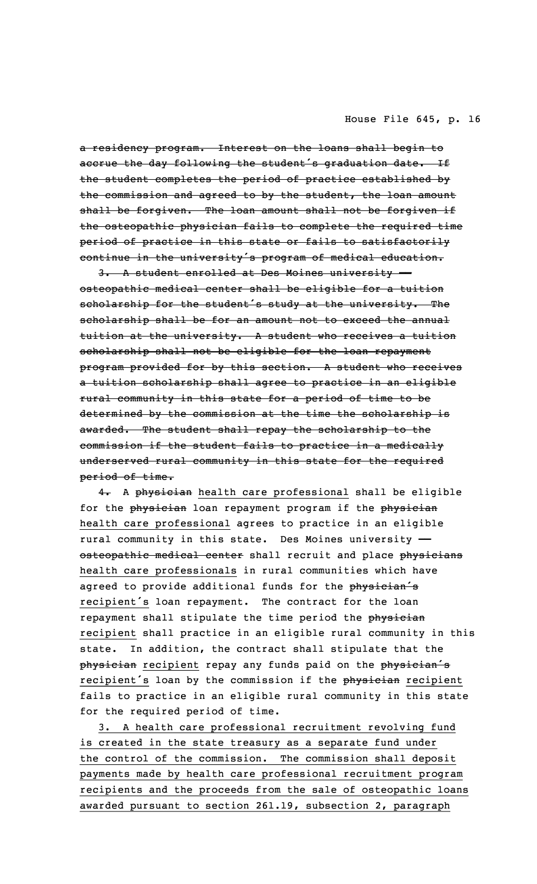<sup>a</sup> residency program. Interest on the loans shall begin to accrue the day following the student's graduation date. If the student completes the period of practice established by the commission and agreed to by the student, the loan amount shall be forgiven. The loan amount shall not be forgiven if the osteopathic physician fails to complete the required time period of practice in this state or fails to satisfactorily continue in the university's program of medical education.

3. A student enrolled at Des Moines university osteopathic medical center shall be eligible for <sup>a</sup> tuition scholarship for the student's study at the university. The scholarship shall be for an amount not to exceed the annual tuition at the university. <sup>A</sup> student who receives <sup>a</sup> tuition scholarship shall not be eligible for the loan repayment program provided for by this section. <sup>A</sup> student who receives <sup>a</sup> tuition scholarship shall agree to practice in an eligible rural community in this state for <sup>a</sup> period of time to be determined by the commission at the time the scholarship is awarded. The student shall repay the scholarship to the commission if the student fails to practice in <sup>a</sup> medically underserved rural community in this state for the required period of time.

4. A physician health care professional shall be eligible for the physician loan repayment program if the physician health care professional agrees to practice in an eligible rural community in this state. Des Moines university — osteopathic medical center shall recruit and place physicians health care professionals in rural communities which have agreed to provide additional funds for the physician's recipient's loan repayment. The contract for the loan repayment shall stipulate the time period the physician recipient shall practice in an eligible rural community in this state. In addition, the contract shall stipulate that the physician recipient repay any funds paid on the physician's recipient's loan by the commission if the physician recipient fails to practice in an eligible rural community in this state for the required period of time.

3. <sup>A</sup> health care professional recruitment revolving fund is created in the state treasury as <sup>a</sup> separate fund under the control of the commission. The commission shall deposit payments made by health care professional recruitment program recipients and the proceeds from the sale of osteopathic loans awarded pursuant to section 261.19, subsection 2, paragraph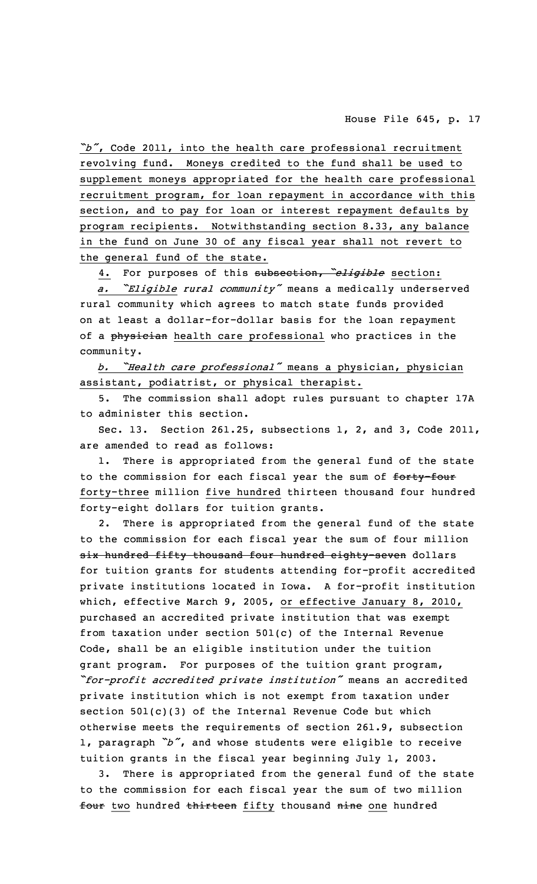*"b"*, Code 2011, into the health care professional recruitment revolving fund. Moneys credited to the fund shall be used to supplement moneys appropriated for the health care professional recruitment program, for loan repayment in accordance with this section, and to pay for loan or interest repayment defaults by program recipients. Notwithstanding section 8.33, any balance in the fund on June 30 of any fiscal year shall not revert to the general fund of the state.

4. For purposes of this subsection, *"eligible* section:

*a. "Eligible rural community"* means <sup>a</sup> medically underserved rural community which agrees to match state funds provided on at least <sup>a</sup> dollar-for-dollar basis for the loan repayment of a physician health care professional who practices in the community.

*b. "Health care professional"* means <sup>a</sup> physician, physician assistant, podiatrist, or physical therapist.

5. The commission shall adopt rules pursuant to chapter 17A to administer this section.

Sec. 13. Section 261.25, subsections 1, 2, and 3, Code 2011, are amended to read as follows:

1. There is appropriated from the general fund of the state to the commission for each fiscal year the sum of forty-four forty-three million five hundred thirteen thousand four hundred forty-eight dollars for tuition grants.

2. There is appropriated from the general fund of the state to the commission for each fiscal year the sum of four million six hundred fifty thousand four hundred eighty-seven dollars for tuition grants for students attending for-profit accredited private institutions located in Iowa. <sup>A</sup> for-profit institution which, effective March 9, 2005, or effective January 8, 2010, purchased an accredited private institution that was exempt from taxation under section 501(c) of the Internal Revenue Code, shall be an eligible institution under the tuition grant program. For purposes of the tuition grant program, *"for-profit accredited private institution"* means an accredited private institution which is not exempt from taxation under section 501(c)(3) of the Internal Revenue Code but which otherwise meets the requirements of section 261.9, subsection 1, paragraph *"b"*, and whose students were eligible to receive tuition grants in the fiscal year beginning July 1, 2003.

3. There is appropriated from the general fund of the state to the commission for each fiscal year the sum of two million four two hundred thirteen fifty thousand nine one hundred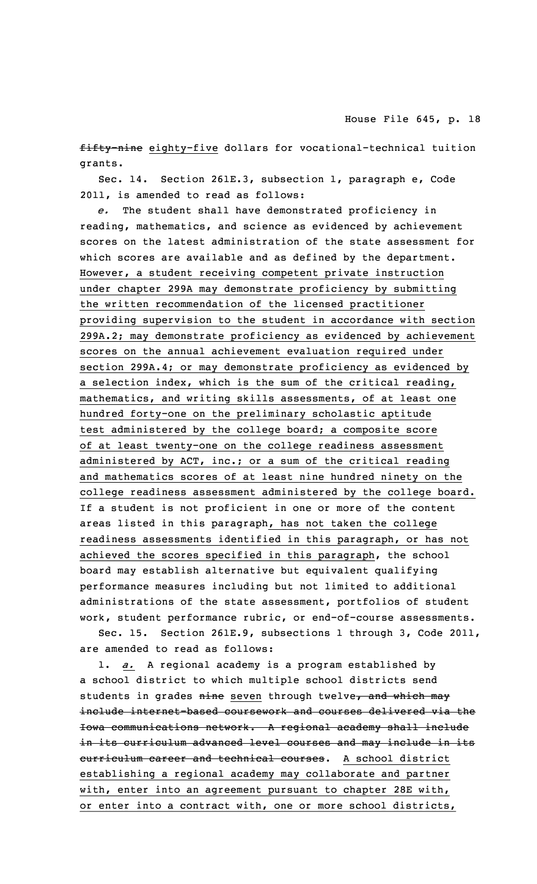fifty-nine eighty-five dollars for vocational-technical tuition grants.

Sec. 14. Section 261E.3, subsection 1, paragraph e, Code 2011, is amended to read as follows:

*e.* The student shall have demonstrated proficiency in reading, mathematics, and science as evidenced by achievement scores on the latest administration of the state assessment for which scores are available and as defined by the department. However, <sup>a</sup> student receiving competent private instruction under chapter 299A may demonstrate proficiency by submitting the written recommendation of the licensed practitioner providing supervision to the student in accordance with section 299A.2; may demonstrate proficiency as evidenced by achievement scores on the annual achievement evaluation required under section 299A.4; or may demonstrate proficiency as evidenced by <sup>a</sup> selection index, which is the sum of the critical reading, mathematics, and writing skills assessments, of at least one hundred forty-one on the preliminary scholastic aptitude test administered by the college board; <sup>a</sup> composite score of at least twenty-one on the college readiness assessment administered by ACT, inc.; or <sup>a</sup> sum of the critical reading and mathematics scores of at least nine hundred ninety on the college readiness assessment administered by the college board. If <sup>a</sup> student is not proficient in one or more of the content areas listed in this paragraph, has not taken the college readiness assessments identified in this paragraph, or has not achieved the scores specified in this paragraph, the school board may establish alternative but equivalent qualifying performance measures including but not limited to additional administrations of the state assessment, portfolios of student work, student performance rubric, or end-of-course assessments.

Sec. 15. Section 261E.9, subsections 1 through 3, Code 2011, are amended to read as follows:

1. *a.* <sup>A</sup> regional academy is <sup>a</sup> program established by <sup>a</sup> school district to which multiple school districts send students in grades nine seven through twelve, and which may include internet-based coursework and courses delivered via the Iowa communications network. <sup>A</sup> regional academy shall include in its curriculum advanced level courses and may include in its curriculum career and technical courses. A school district establishing <sup>a</sup> regional academy may collaborate and partner with, enter into an agreement pursuant to chapter 28E with, or enter into <sup>a</sup> contract with, one or more school districts,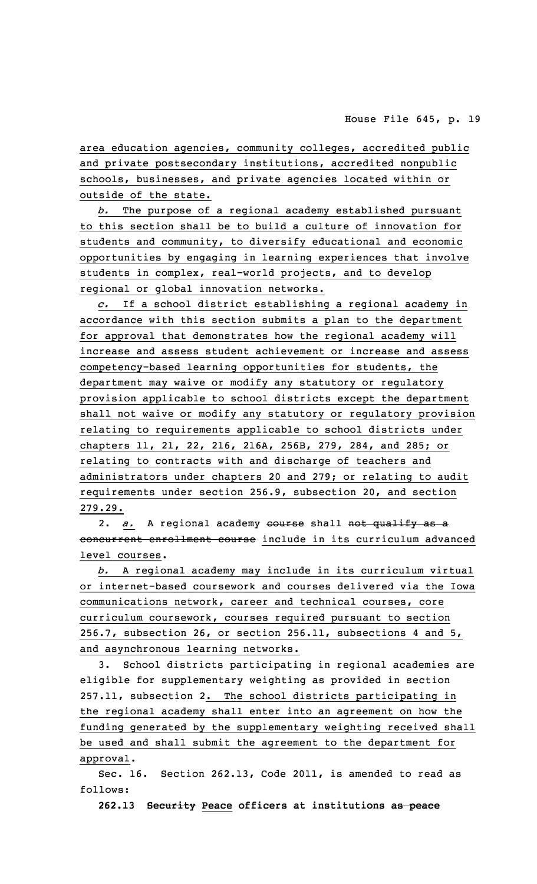area education agencies, community colleges, accredited public and private postsecondary institutions, accredited nonpublic schools, businesses, and private agencies located within or outside of the state.

*b.* The purpose of <sup>a</sup> regional academy established pursuant to this section shall be to build <sup>a</sup> culture of innovation for students and community, to diversify educational and economic opportunities by engaging in learning experiences that involve students in complex, real-world projects, and to develop regional or global innovation networks.

*c.* If <sup>a</sup> school district establishing <sup>a</sup> regional academy in accordance with this section submits <sup>a</sup> plan to the department for approval that demonstrates how the regional academy will increase and assess student achievement or increase and assess competency-based learning opportunities for students, the department may waive or modify any statutory or regulatory provision applicable to school districts except the department shall not waive or modify any statutory or regulatory provision relating to requirements applicable to school districts under chapters 11, 21, 22, 216, 216A, 256B, 279, 284, and 285; or relating to contracts with and discharge of teachers and administrators under chapters 20 and 279; or relating to audit requirements under section 256.9, subsection 20, and section 279.29.

2. *a.* <sup>A</sup> regional academy course shall not qualify as <sup>a</sup> concurrent enrollment course include in its curriculum advanced level courses.

*b.* <sup>A</sup> regional academy may include in its curriculum virtual or internet-based coursework and courses delivered via the Iowa communications network, career and technical courses, core curriculum coursework, courses required pursuant to section 256.7, subsection 26, or section 256.11, subsections 4 and 5, and asynchronous learning networks.

3. School districts participating in regional academies are eligible for supplementary weighting as provided in section 257.11, subsection 2. The school districts participating in the regional academy shall enter into an agreement on how the funding generated by the supplementary weighting received shall be used and shall submit the agreement to the department for approval.

Sec. 16. Section 262.13, Code 2011, is amended to read as follows:

**262.13 Security Peace officers at institutions as peace**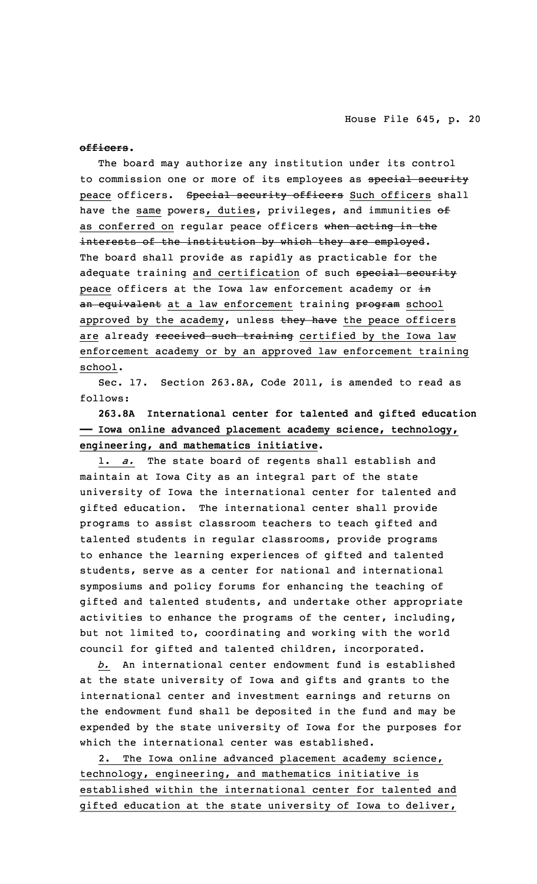**officers.**

The board may authorize any institution under its control to commission one or more of its employees as special security peace officers. Special security officers Such officers shall have the same powers, duties, privileges, and immunities of as conferred on regular peace officers when acting in the interests of the institution by which they are employed. The board shall provide as rapidly as practicable for the adequate training and certification of such special security peace officers at the Iowa law enforcement academy or in an equivalent at a law enforcement training program school approved by the academy, unless they have the peace officers are already received such training certified by the Iowa law enforcement academy or by an approved law enforcement training school.

Sec. 17. Section 263.8A, Code 2011, is amended to read as follows:

**263.8A International center for talented and gifted education —— Iowa online advanced placement academy science, technology, engineering, and mathematics initiative.**

1. *a.* The state board of regents shall establish and maintain at Iowa City as an integral part of the state university of Iowa the international center for talented and gifted education. The international center shall provide programs to assist classroom teachers to teach gifted and talented students in regular classrooms, provide programs to enhance the learning experiences of gifted and talented students, serve as <sup>a</sup> center for national and international symposiums and policy forums for enhancing the teaching of gifted and talented students, and undertake other appropriate activities to enhance the programs of the center, including, but not limited to, coordinating and working with the world council for gifted and talented children, incorporated.

*b.* An international center endowment fund is established at the state university of Iowa and gifts and grants to the international center and investment earnings and returns on the endowment fund shall be deposited in the fund and may be expended by the state university of Iowa for the purposes for which the international center was established.

2. The Iowa online advanced placement academy science, technology, engineering, and mathematics initiative is established within the international center for talented and gifted education at the state university of Iowa to deliver,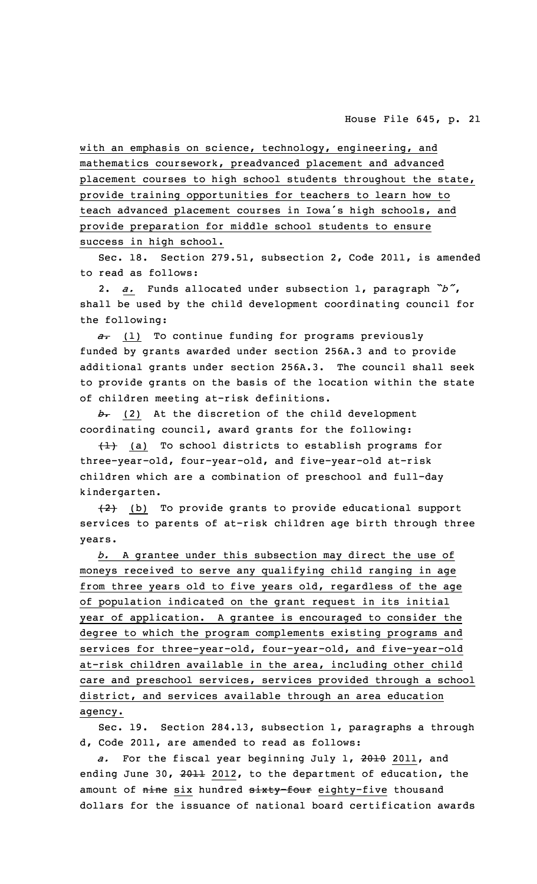with an emphasis on science, technology, engineering, and mathematics coursework, preadvanced placement and advanced placement courses to high school students throughout the state, provide training opportunities for teachers to learn how to teach advanced placement courses in Iowa's high schools, and provide preparation for middle school students to ensure success in high school.

Sec. 18. Section 279.51, subsection 2, Code 2011, is amended to read as follows:

2. *a.* Funds allocated under subsection 1, paragraph *"b"*, shall be used by the child development coordinating council for the following:

*a.* (1) To continue funding for programs previously funded by grants awarded under section 256A.3 and to provide additional grants under section 256A.3. The council shall seek to provide grants on the basis of the location within the state of children meeting at-risk definitions.

*b.* (2) At the discretion of the child development coordinating council, award grants for the following:

 $\{\pm\}$  (a) To school districts to establish programs for three-year-old, four-year-old, and five-year-old at-risk children which are <sup>a</sup> combination of preschool and full-day kindergarten.

 $(2)$  (b) To provide grants to provide educational support services to parents of at-risk children age birth through three years.

*b.* <sup>A</sup> grantee under this subsection may direct the use of moneys received to serve any qualifying child ranging in age from three years old to five years old, regardless of the age of population indicated on the grant request in its initial year of application. <sup>A</sup> grantee is encouraged to consider the degree to which the program complements existing programs and services for three-year-old, four-year-old, and five-year-old at-risk children available in the area, including other child care and preschool services, services provided through <sup>a</sup> school district, and services available through an area education agency.

Sec. 19. Section 284.13, subsection 1, paragraphs <sup>a</sup> through d, Code 2011, are amended to read as follows:

*a.* For the fiscal year beginning July 1, 2010 2011, and ending June 30, 2011 2012, to the department of education, the amount of nine six hundred sixty-four eighty-five thousand dollars for the issuance of national board certification awards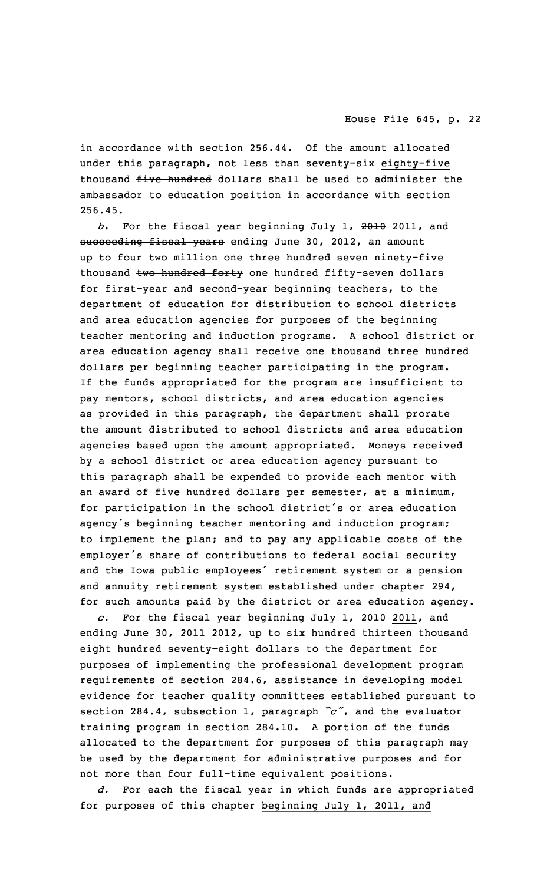in accordance with section 256.44. Of the amount allocated under this paragraph, not less than seventy-six eighty-five thousand five hundred dollars shall be used to administer the ambassador to education position in accordance with section 256.45.

*b.* For the fiscal year beginning July 1, 2010 2011, and succeeding fiscal years ending June 30, 2012, an amount up to four two million one three hundred seven ninety-five thousand two hundred forty one hundred fifty-seven dollars for first-year and second-year beginning teachers, to the department of education for distribution to school districts and area education agencies for purposes of the beginning teacher mentoring and induction programs. <sup>A</sup> school district or area education agency shall receive one thousand three hundred dollars per beginning teacher participating in the program. If the funds appropriated for the program are insufficient to pay mentors, school districts, and area education agencies as provided in this paragraph, the department shall prorate the amount distributed to school districts and area education agencies based upon the amount appropriated. Moneys received by <sup>a</sup> school district or area education agency pursuant to this paragraph shall be expended to provide each mentor with an award of five hundred dollars per semester, at <sup>a</sup> minimum, for participation in the school district's or area education agency's beginning teacher mentoring and induction program; to implement the plan; and to pay any applicable costs of the employer's share of contributions to federal social security and the Iowa public employees' retirement system or <sup>a</sup> pension and annuity retirement system established under chapter 294, for such amounts paid by the district or area education agency.

*c.* For the fiscal year beginning July 1, 2010 2011, and ending June 30, 2011 2012, up to six hundred thirteen thousand eight hundred seventy-eight dollars to the department for purposes of implementing the professional development program requirements of section 284.6, assistance in developing model evidence for teacher quality committees established pursuant to section 284.4, subsection 1, paragraph *"c"*, and the evaluator training program in section 284.10. <sup>A</sup> portion of the funds allocated to the department for purposes of this paragraph may be used by the department for administrative purposes and for not more than four full-time equivalent positions.

*d.* For each the fiscal year in which funds are appropriated for purposes of this chapter beginning July 1, 2011, and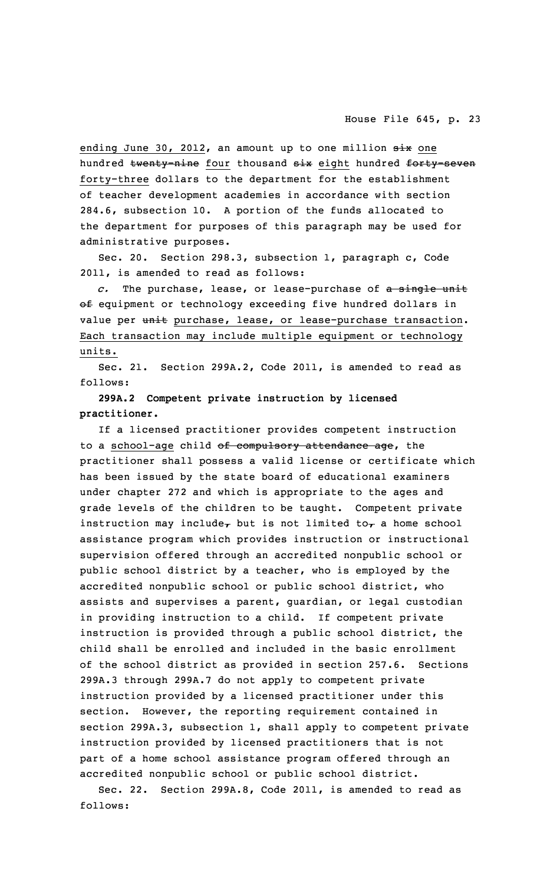ending June 30, 2012, an amount up to one million six one hundred twenty-nine four thousand six eight hundred forty-seven forty-three dollars to the department for the establishment of teacher development academies in accordance with section 284.6, subsection 10. <sup>A</sup> portion of the funds allocated to the department for purposes of this paragraph may be used for administrative purposes.

Sec. 20. Section 298.3, subsection 1, paragraph c, Code 2011, is amended to read as follows:

*c.* The purchase, lease, or lease-purchase of <sup>a</sup> single unit of equipment or technology exceeding five hundred dollars in value per unit purchase, lease, or lease-purchase transaction. Each transaction may include multiple equipment or technology units.

Sec. 21. Section 299A.2, Code 2011, is amended to read as follows:

# **299A.2 Competent private instruction by licensed practitioner.**

If <sup>a</sup> licensed practitioner provides competent instruction to a school-age child of compulsory attendance age, the practitioner shall possess <sup>a</sup> valid license or certificate which has been issued by the state board of educational examiners under chapter 272 and which is appropriate to the ages and grade levels of the children to be taught. Competent private instruction may include, but is not limited to, a home school assistance program which provides instruction or instructional supervision offered through an accredited nonpublic school or public school district by <sup>a</sup> teacher, who is employed by the accredited nonpublic school or public school district, who assists and supervises <sup>a</sup> parent, guardian, or legal custodian in providing instruction to <sup>a</sup> child. If competent private instruction is provided through <sup>a</sup> public school district, the child shall be enrolled and included in the basic enrollment of the school district as provided in section 257.6. Sections 299A.3 through 299A.7 do not apply to competent private instruction provided by <sup>a</sup> licensed practitioner under this section. However, the reporting requirement contained in section 299A.3, subsection 1, shall apply to competent private instruction provided by licensed practitioners that is not part of <sup>a</sup> home school assistance program offered through an accredited nonpublic school or public school district.

Sec. 22. Section 299A.8, Code 2011, is amended to read as follows: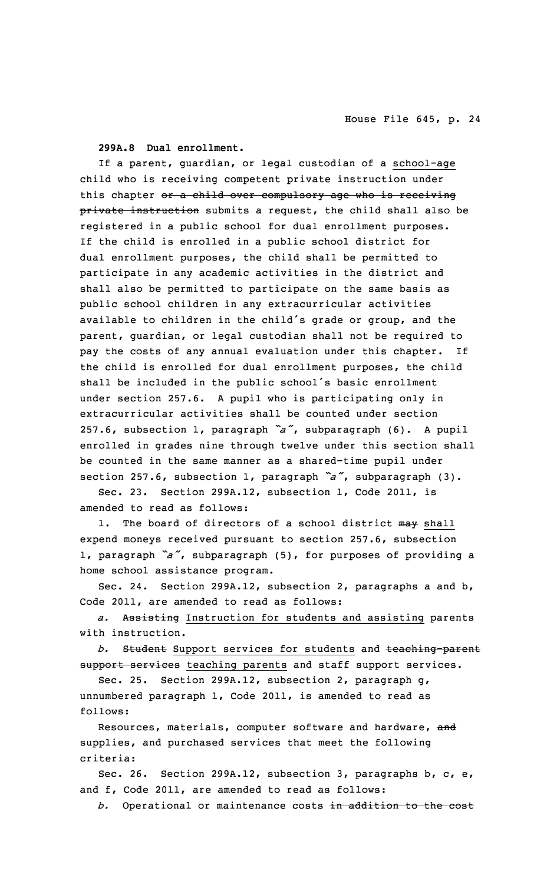**299A.8 Dual enrollment.**

If <sup>a</sup> parent, guardian, or legal custodian of <sup>a</sup> school-age child who is receiving competent private instruction under this chapter or a child over compulsory age who is receiving private instruction submits a request, the child shall also be registered in <sup>a</sup> public school for dual enrollment purposes. If the child is enrolled in <sup>a</sup> public school district for dual enrollment purposes, the child shall be permitted to participate in any academic activities in the district and shall also be permitted to participate on the same basis as public school children in any extracurricular activities available to children in the child's grade or group, and the parent, guardian, or legal custodian shall not be required to pay the costs of any annual evaluation under this chapter. If the child is enrolled for dual enrollment purposes, the child shall be included in the public school's basic enrollment under section 257.6. <sup>A</sup> pupil who is participating only in extracurricular activities shall be counted under section 257.6, subsection 1, paragraph *"a"*, subparagraph (6). <sup>A</sup> pupil enrolled in grades nine through twelve under this section shall be counted in the same manner as <sup>a</sup> shared-time pupil under section 257.6, subsection 1, paragraph *"a"*, subparagraph (3).

Sec. 23. Section 299A.12, subsection 1, Code 2011, is amended to read as follows:

1. The board of directors of a school district may shall expend moneys received pursuant to section 257.6, subsection 1, paragraph *"a"*, subparagraph (5), for purposes of providing <sup>a</sup> home school assistance program.

Sec. 24. Section 299A.12, subsection 2, paragraphs <sup>a</sup> and b, Code 2011, are amended to read as follows:

*a.* Assisting Instruction for students and assisting parents with instruction.

*b.* Student Support services for students and teaching-parent support services teaching parents and staff support services.

Sec. 25. Section 299A.12, subsection 2, paragraph g, unnumbered paragraph 1, Code 2011, is amended to read as follows:

Resources, materials, computer software and hardware, and supplies, and purchased services that meet the following criteria:

Sec. 26. Section 299A.12, subsection 3, paragraphs b, c, e, and f, Code 2011, are amended to read as follows:

*b.* Operational or maintenance costs in addition to the cost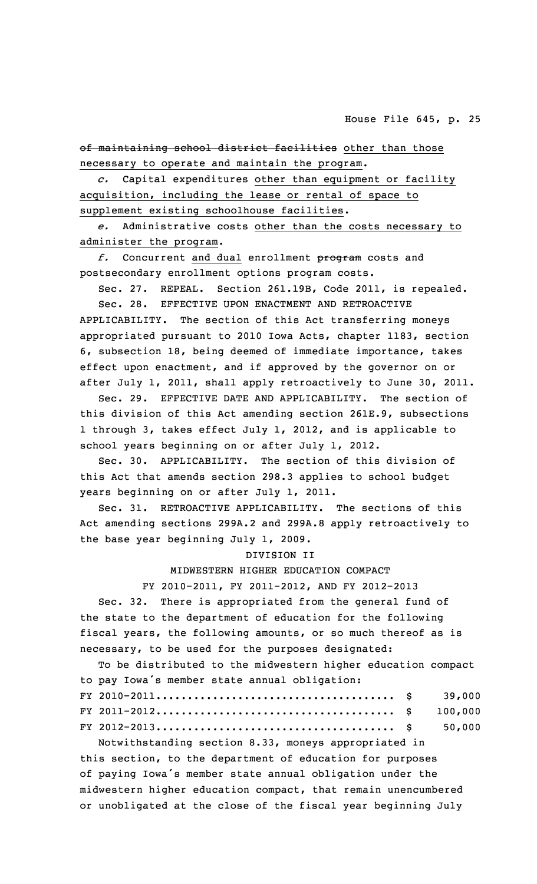of maintaining school district facilities other than those necessary to operate and maintain the program.

*c.* Capital expenditures other than equipment or facility acquisition, including the lease or rental of space to supplement existing schoolhouse facilities.

*e.* Administrative costs other than the costs necessary to administer the program.

*f.* Concurrent and dual enrollment program costs and postsecondary enrollment options program costs.

Sec. 27. REPEAL. Section 261.19B, Code 2011, is repealed. Sec. 28. EFFECTIVE UPON ENACTMENT AND RETROACTIVE

APPLICABILITY. The section of this Act transferring moneys appropriated pursuant to 2010 Iowa Acts, chapter 1183, section 6, subsection 18, being deemed of immediate importance, takes effect upon enactment, and if approved by the governor on or after July 1, 2011, shall apply retroactively to June 30, 2011.

Sec. 29. EFFECTIVE DATE AND APPLICABILITY. The section of this division of this Act amending section 261E.9, subsections 1 through 3, takes effect July 1, 2012, and is applicable to school years beginning on or after July 1, 2012.

Sec. 30. APPLICABILITY. The section of this division of this Act that amends section 298.3 applies to school budget years beginning on or after July 1, 2011.

Sec. 31. RETROACTIVE APPLICABILITY. The sections of this Act amending sections 299A.2 and 299A.8 apply retroactively to the base year beginning July 1, 2009.

#### DIVISION II

MIDWESTERN HIGHER EDUCATION COMPACT

FY 2010-2011, FY 2011-2012, AND FY 2012-2013

Sec. 32. There is appropriated from the general fund of the state to the department of education for the following fiscal years, the following amounts, or so much thereof as is necessary, to be used for the purposes designated:

To be distributed to the midwestern higher education compact to pay Iowa's member state annual obligation: FY 2010-2011...................................... \$ 39,000

Notwithstanding section 8.33, moneys appropriated in this section, to the department of education for purposes of paying Iowa's member state annual obligation under the midwestern higher education compact, that remain unencumbered or unobligated at the close of the fiscal year beginning July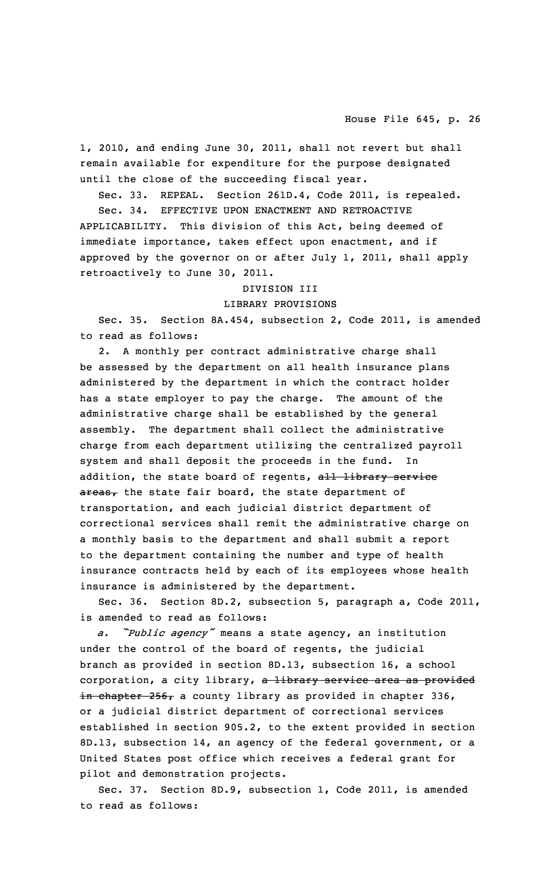1, 2010, and ending June 30, 2011, shall not revert but shall remain available for expenditure for the purpose designated until the close of the succeeding fiscal year.

Sec. 33. REPEAL. Section 261D.4, Code 2011, is repealed.

Sec. 34. EFFECTIVE UPON ENACTMENT AND RETROACTIVE APPLICABILITY. This division of this Act, being deemed of immediate importance, takes effect upon enactment, and if approved by the governor on or after July 1, 2011, shall apply retroactively to June 30, 2011.

### DIVISION III

### LIBRARY PROVISIONS

Sec. 35. Section 8A.454, subsection 2, Code 2011, is amended to read as follows:

2. <sup>A</sup> monthly per contract administrative charge shall be assessed by the department on all health insurance plans administered by the department in which the contract holder has <sup>a</sup> state employer to pay the charge. The amount of the administrative charge shall be established by the general assembly. The department shall collect the administrative charge from each department utilizing the centralized payroll system and shall deposit the proceeds in the fund. In addition, the state board of regents, all library service  $\frac{area}{ }$  the state fair board, the state department of transportation, and each judicial district department of correctional services shall remit the administrative charge on <sup>a</sup> monthly basis to the department and shall submit <sup>a</sup> report to the department containing the number and type of health insurance contracts held by each of its employees whose health insurance is administered by the department.

Sec. 36. Section 8D.2, subsection 5, paragraph a, Code 2011, is amended to read as follows:

*a. "Public agency"* means <sup>a</sup> state agency, an institution under the control of the board of regents, the judicial branch as provided in section 8D.13, subsection 16, <sup>a</sup> school corporation, a city library, a library service area as provided in chapter 256, <sup>a</sup> county library as provided in chapter 336, or <sup>a</sup> judicial district department of correctional services established in section 905.2, to the extent provided in section 8D.13, subsection 14, an agency of the federal government, or <sup>a</sup> United States post office which receives <sup>a</sup> federal grant for pilot and demonstration projects.

Sec. 37. Section 8D.9, subsection 1, Code 2011, is amended to read as follows: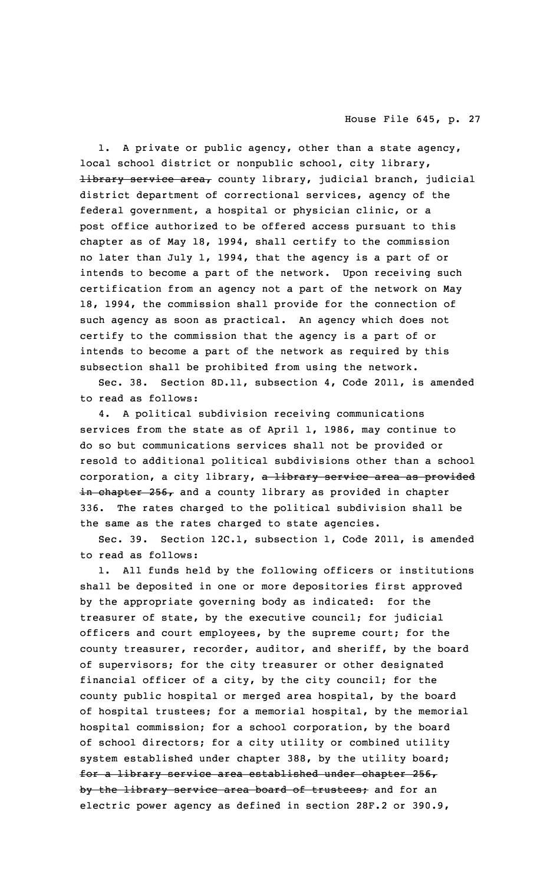1. <sup>A</sup> private or public agency, other than <sup>a</sup> state agency, local school district or nonpublic school, city library, library service area, county library, judicial branch, judicial district department of correctional services, agency of the federal government, <sup>a</sup> hospital or physician clinic, or <sup>a</sup> post office authorized to be offered access pursuant to this chapter as of May 18, 1994, shall certify to the commission no later than July 1, 1994, that the agency is <sup>a</sup> part of or intends to become <sup>a</sup> part of the network. Upon receiving such certification from an agency not <sup>a</sup> part of the network on May 18, 1994, the commission shall provide for the connection of such agency as soon as practical. An agency which does not certify to the commission that the agency is <sup>a</sup> part of or intends to become <sup>a</sup> part of the network as required by this subsection shall be prohibited from using the network.

Sec. 38. Section 8D.11, subsection 4, Code 2011, is amended to read as follows:

4. <sup>A</sup> political subdivision receiving communications services from the state as of April 1, 1986, may continue to do so but communications services shall not be provided or resold to additional political subdivisions other than <sup>a</sup> school corporation, a city library, a library service area as provided in chapter 256, and <sup>a</sup> county library as provided in chapter 336. The rates charged to the political subdivision shall be the same as the rates charged to state agencies.

Sec. 39. Section 12C.1, subsection 1, Code 2011, is amended to read as follows:

1. All funds held by the following officers or institutions shall be deposited in one or more depositories first approved by the appropriate governing body as indicated: for the treasurer of state, by the executive council; for judicial officers and court employees, by the supreme court; for the county treasurer, recorder, auditor, and sheriff, by the board of supervisors; for the city treasurer or other designated financial officer of <sup>a</sup> city, by the city council; for the county public hospital or merged area hospital, by the board of hospital trustees; for <sup>a</sup> memorial hospital, by the memorial hospital commission; for <sup>a</sup> school corporation, by the board of school directors; for <sup>a</sup> city utility or combined utility system established under chapter 388, by the utility board; for <sup>a</sup> library service area established under chapter 256, by the library service area board of trustees; and for an electric power agency as defined in section 28F.2 or 390.9,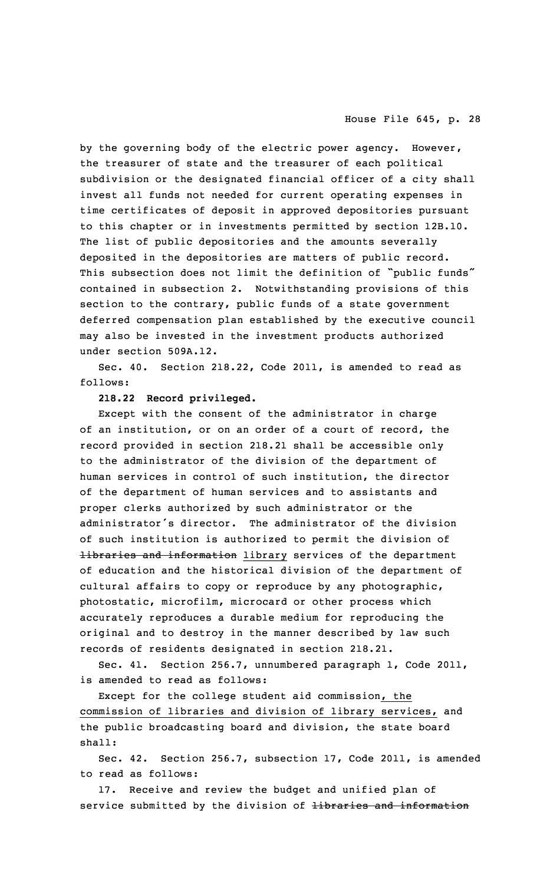by the governing body of the electric power agency. However, the treasurer of state and the treasurer of each political subdivision or the designated financial officer of <sup>a</sup> city shall invest all funds not needed for current operating expenses in time certificates of deposit in approved depositories pursuant to this chapter or in investments permitted by section 12B.10. The list of public depositories and the amounts severally deposited in the depositories are matters of public record. This subsection does not limit the definition of "public funds" contained in subsection 2. Notwithstanding provisions of this section to the contrary, public funds of <sup>a</sup> state government deferred compensation plan established by the executive council may also be invested in the investment products authorized under section 509A.12.

Sec. 40. Section 218.22, Code 2011, is amended to read as follows:

### **218.22 Record privileged.**

Except with the consent of the administrator in charge of an institution, or on an order of <sup>a</sup> court of record, the record provided in section 218.21 shall be accessible only to the administrator of the division of the department of human services in control of such institution, the director of the department of human services and to assistants and proper clerks authorized by such administrator or the administrator's director. The administrator of the division of such institution is authorized to permit the division of libraries and information library services of the department of education and the historical division of the department of cultural affairs to copy or reproduce by any photographic, photostatic, microfilm, microcard or other process which accurately reproduces <sup>a</sup> durable medium for reproducing the original and to destroy in the manner described by law such records of residents designated in section 218.21.

Sec. 41. Section 256.7, unnumbered paragraph 1, Code 2011, is amended to read as follows:

Except for the college student aid commission, the commission of libraries and division of library services, and the public broadcasting board and division, the state board shall:

Sec. 42. Section 256.7, subsection 17, Code 2011, is amended to read as follows:

17. Receive and review the budget and unified plan of service submitted by the division of libraries and information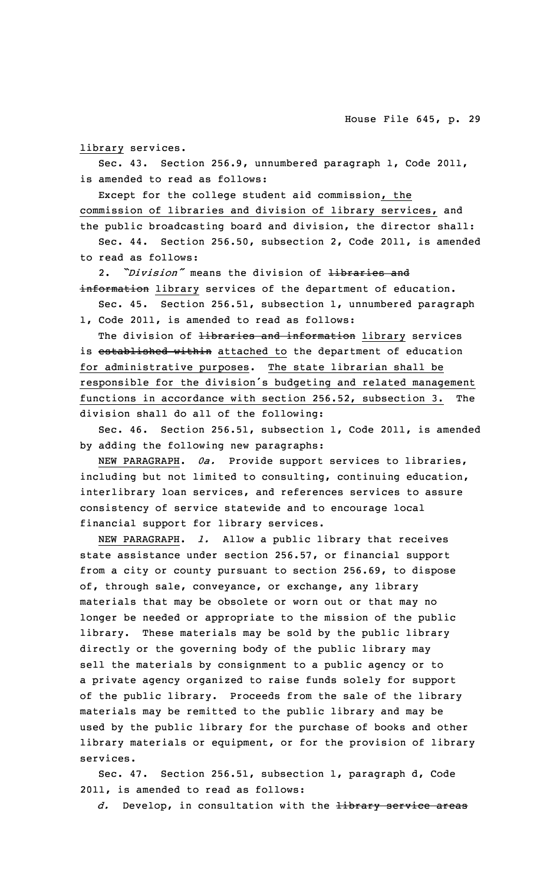library services.

Sec. 43. Section 256.9, unnumbered paragraph 1, Code 2011, is amended to read as follows:

Except for the college student aid commission, the commission of libraries and division of library services, and the public broadcasting board and division, the director shall: Sec. 44. Section 256.50, subsection 2, Code 2011, is amended to read as follows:

2. *"Division"* means the division of libraries and

information library services of the department of education. Sec. 45. Section 256.51, subsection 1, unnumbered paragraph

1, Code 2011, is amended to read as follows:

The division of *Hibraries and information* library services is established within attached to the department of education for administrative purposes. The state librarian shall be responsible for the division's budgeting and related management functions in accordance with section 256.52, subsection 3. The division shall do all of the following:

Sec. 46. Section 256.51, subsection 1, Code 2011, is amended by adding the following new paragraphs:

NEW PARAGRAPH. *0a.* Provide support services to libraries, including but not limited to consulting, continuing education, interlibrary loan services, and references services to assure consistency of service statewide and to encourage local financial support for library services.

NEW PARAGRAPH. *l.* Allow <sup>a</sup> public library that receives state assistance under section 256.57, or financial support from <sup>a</sup> city or county pursuant to section 256.69, to dispose of, through sale, conveyance, or exchange, any library materials that may be obsolete or worn out or that may no longer be needed or appropriate to the mission of the public library. These materials may be sold by the public library directly or the governing body of the public library may sell the materials by consignment to <sup>a</sup> public agency or to <sup>a</sup> private agency organized to raise funds solely for support of the public library. Proceeds from the sale of the library materials may be remitted to the public library and may be used by the public library for the purchase of books and other library materials or equipment, or for the provision of library services.

Sec. 47. Section 256.51, subsection 1, paragraph d, Code 2011, is amended to read as follows:

*d.* Develop, in consultation with the library service areas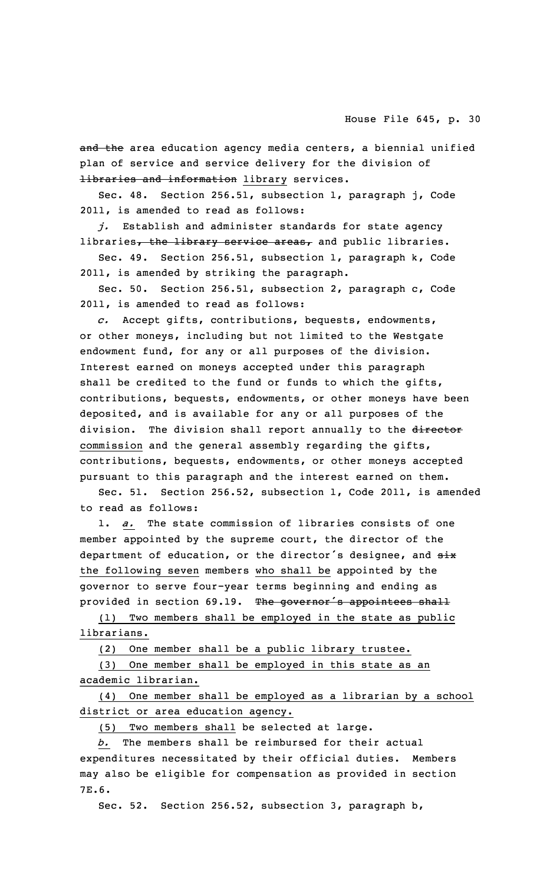and the area education agency media centers, a biennial unified plan of service and service delivery for the division of libraries and information library services.

Sec. 48. Section 256.51, subsection 1, paragraph j, Code 2011, is amended to read as follows:

*j.* Establish and administer standards for state agency libraries, the library service areas, and public libraries.

Sec. 49. Section 256.51, subsection 1, paragraph k, Code 2011, is amended by striking the paragraph.

Sec. 50. Section 256.51, subsection 2, paragraph c, Code 2011, is amended to read as follows:

*c.* Accept gifts, contributions, bequests, endowments, or other moneys, including but not limited to the Westgate endowment fund, for any or all purposes of the division. Interest earned on moneys accepted under this paragraph shall be credited to the fund or funds to which the gifts, contributions, bequests, endowments, or other moneys have been deposited, and is available for any or all purposes of the division. The division shall report annually to the director commission and the general assembly regarding the gifts, contributions, bequests, endowments, or other moneys accepted pursuant to this paragraph and the interest earned on them.

Sec. 51. Section 256.52, subsection 1, Code 2011, is amended to read as follows:

1. *a.* The state commission of libraries consists of one member appointed by the supreme court, the director of the department of education, or the director's designee, and  $six$ the following seven members who shall be appointed by the governor to serve four-year terms beginning and ending as provided in section 69.19. The governor's appointees shall

(1) Two members shall be employed in the state as public librarians.

(2) One member shall be <sup>a</sup> public library trustee.

(3) One member shall be employed in this state as an academic librarian.

(4) One member shall be employed as <sup>a</sup> librarian by <sup>a</sup> school district or area education agency.

(5) Two members shall be selected at large.

*b.* The members shall be reimbursed for their actual expenditures necessitated by their official duties. Members may also be eligible for compensation as provided in section 7E.6.

Sec. 52. Section 256.52, subsection 3, paragraph b,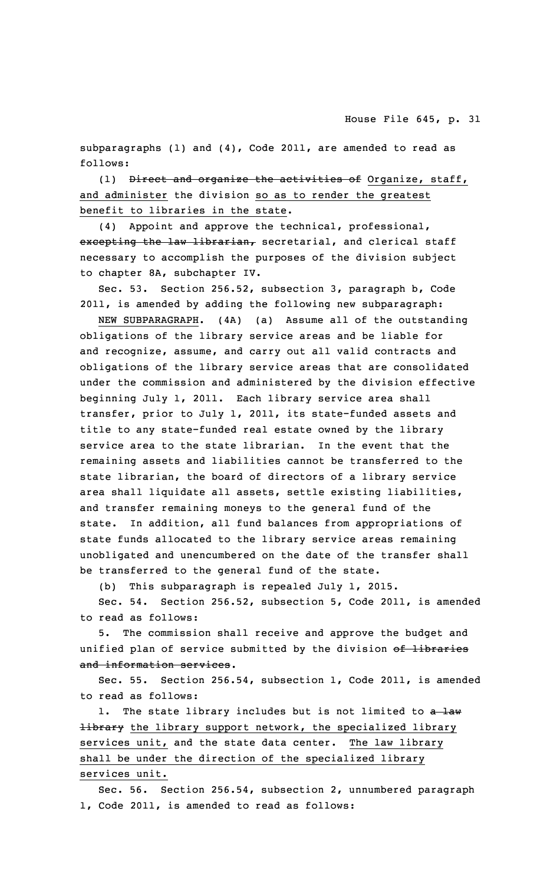subparagraphs (1) and (4), Code 2011, are amended to read as follows:

(1) Direct and organize the activities of Organize, staff, and administer the division so as to render the greatest benefit to libraries in the state.

(4) Appoint and approve the technical, professional, excepting the law librarian, secretarial, and clerical staff necessary to accomplish the purposes of the division subject to chapter 8A, subchapter IV.

Sec. 53. Section 256.52, subsection 3, paragraph b, Code 2011, is amended by adding the following new subparagraph:

NEW SUBPARAGRAPH. (4A) (a) Assume all of the outstanding obligations of the library service areas and be liable for and recognize, assume, and carry out all valid contracts and obligations of the library service areas that are consolidated under the commission and administered by the division effective beginning July 1, 2011. Each library service area shall transfer, prior to July 1, 2011, its state-funded assets and title to any state-funded real estate owned by the library service area to the state librarian. In the event that the remaining assets and liabilities cannot be transferred to the state librarian, the board of directors of <sup>a</sup> library service area shall liquidate all assets, settle existing liabilities, and transfer remaining moneys to the general fund of the state. In addition, all fund balances from appropriations of state funds allocated to the library service areas remaining unobligated and unencumbered on the date of the transfer shall be transferred to the general fund of the state.

(b) This subparagraph is repealed July 1, 2015.

Sec. 54. Section 256.52, subsection 5, Code 2011, is amended to read as follows:

5. The commission shall receive and approve the budget and unified plan of service submitted by the division of libraries and information services.

Sec. 55. Section 256.54, subsection 1, Code 2011, is amended to read as follows:

1. The state library includes but is not limited to a law Hibrary the library support network, the specialized library services unit, and the state data center. The law library shall be under the direction of the specialized library services unit.

Sec. 56. Section 256.54, subsection 2, unnumbered paragraph 1, Code 2011, is amended to read as follows: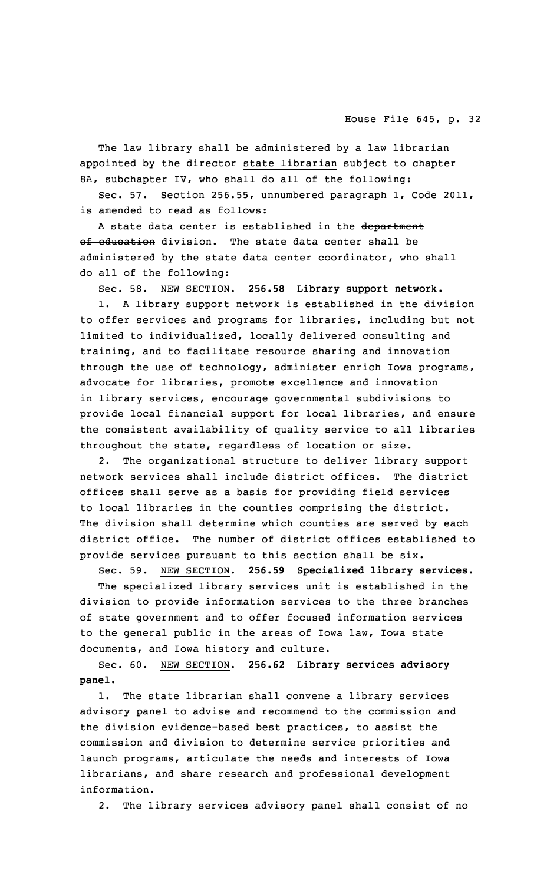The law library shall be administered by <sup>a</sup> law librarian appointed by the director state librarian subject to chapter 8A, subchapter IV, who shall do all of the following:

Sec. 57. Section 256.55, unnumbered paragraph 1, Code 2011, is amended to read as follows:

A state data center is established in the department of education division. The state data center shall be administered by the state data center coordinator, who shall do all of the following:

Sec. 58. NEW SECTION. **256.58 Library support network.**

1. <sup>A</sup> library support network is established in the division to offer services and programs for libraries, including but not limited to individualized, locally delivered consulting and training, and to facilitate resource sharing and innovation through the use of technology, administer enrich Iowa programs, advocate for libraries, promote excellence and innovation in library services, encourage governmental subdivisions to provide local financial support for local libraries, and ensure the consistent availability of quality service to all libraries throughout the state, regardless of location or size.

2. The organizational structure to deliver library support network services shall include district offices. The district offices shall serve as <sup>a</sup> basis for providing field services to local libraries in the counties comprising the district. The division shall determine which counties are served by each district office. The number of district offices established to provide services pursuant to this section shall be six.

Sec. 59. NEW SECTION. **256.59 Specialized library services.**

The specialized library services unit is established in the division to provide information services to the three branches of state government and to offer focused information services to the general public in the areas of Iowa law, Iowa state documents, and Iowa history and culture.

Sec. 60. NEW SECTION. **256.62 Library services advisory panel.**

1. The state librarian shall convene <sup>a</sup> library services advisory panel to advise and recommend to the commission and the division evidence-based best practices, to assist the commission and division to determine service priorities and launch programs, articulate the needs and interests of Iowa librarians, and share research and professional development information.

2. The library services advisory panel shall consist of no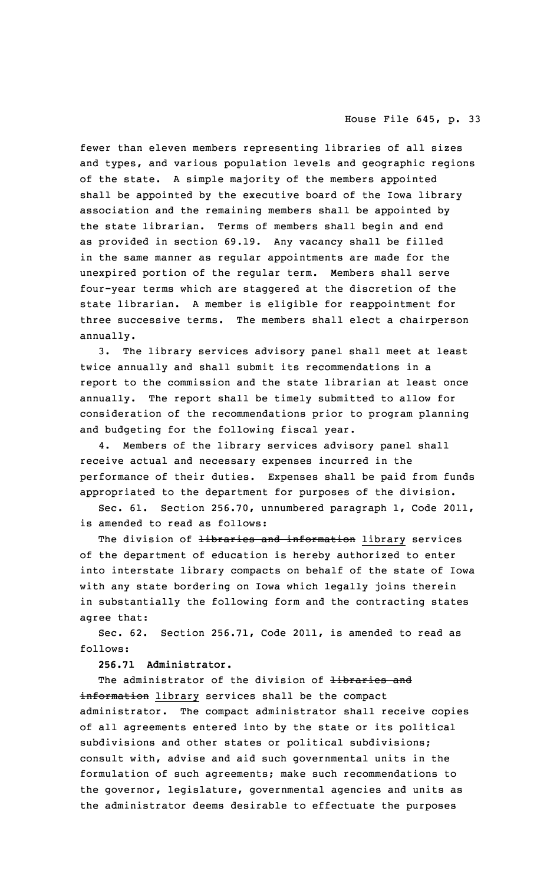fewer than eleven members representing libraries of all sizes and types, and various population levels and geographic regions of the state. <sup>A</sup> simple majority of the members appointed shall be appointed by the executive board of the Iowa library association and the remaining members shall be appointed by the state librarian. Terms of members shall begin and end as provided in section 69.19. Any vacancy shall be filled in the same manner as regular appointments are made for the unexpired portion of the regular term. Members shall serve four-year terms which are staggered at the discretion of the state librarian. <sup>A</sup> member is eligible for reappointment for three successive terms. The members shall elect <sup>a</sup> chairperson annually.

3. The library services advisory panel shall meet at least twice annually and shall submit its recommendations in <sup>a</sup> report to the commission and the state librarian at least once annually. The report shall be timely submitted to allow for consideration of the recommendations prior to program planning and budgeting for the following fiscal year.

4. Members of the library services advisory panel shall receive actual and necessary expenses incurred in the performance of their duties. Expenses shall be paid from funds appropriated to the department for purposes of the division.

Sec. 61. Section 256.70, unnumbered paragraph 1, Code 2011, is amended to read as follows:

The division of <del>libraries and information</del> library services of the department of education is hereby authorized to enter into interstate library compacts on behalf of the state of Iowa with any state bordering on Iowa which legally joins therein in substantially the following form and the contracting states agree that:

Sec. 62. Section 256.71, Code 2011, is amended to read as follows:

**256.71 Administrator.**

The administrator of the division of libraries and information library services shall be the compact administrator. The compact administrator shall receive copies of all agreements entered into by the state or its political subdivisions and other states or political subdivisions; consult with, advise and aid such governmental units in the formulation of such agreements; make such recommendations to the governor, legislature, governmental agencies and units as the administrator deems desirable to effectuate the purposes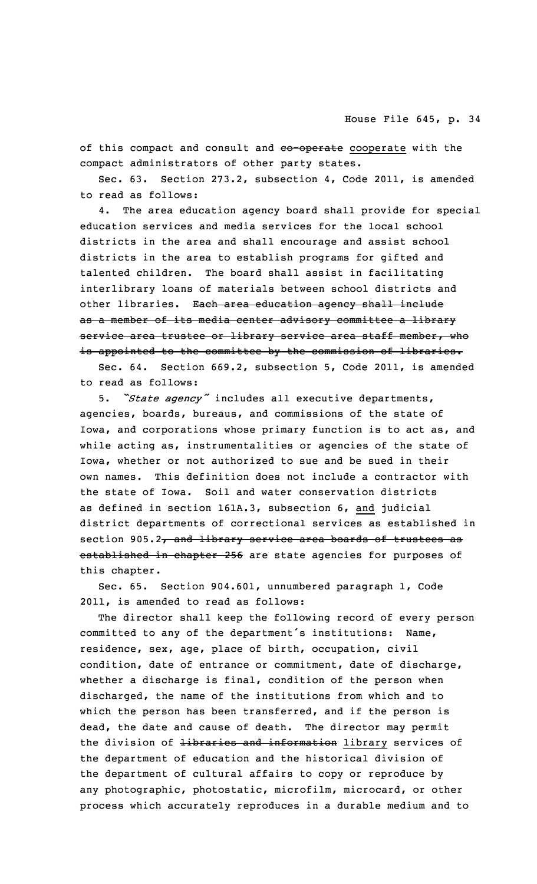of this compact and consult and eo-operate cooperate with the compact administrators of other party states.

Sec. 63. Section 273.2, subsection 4, Code 2011, is amended to read as follows:

4. The area education agency board shall provide for special education services and media services for the local school districts in the area and shall encourage and assist school districts in the area to establish programs for gifted and talented children. The board shall assist in facilitating interlibrary loans of materials between school districts and other libraries. Each area education agency shall include as <sup>a</sup> member of its media center advisory committee <sup>a</sup> library service area trustee or library service area staff member, who is appointed to the committee by the commission of libraries.

Sec. 64. Section 669.2, subsection 5, Code 2011, is amended to read as follows:

5. *"State agency"* includes all executive departments, agencies, boards, bureaus, and commissions of the state of Iowa, and corporations whose primary function is to act as, and while acting as, instrumentalities or agencies of the state of Iowa, whether or not authorized to sue and be sued in their own names. This definition does not include <sup>a</sup> contractor with the state of Iowa. Soil and water conservation districts as defined in section 161A.3, subsection 6, and judicial district departments of correctional services as established in section 905.2, and library service area boards of trustees as established in chapter 256 are state agencies for purposes of this chapter.

Sec. 65. Section 904.601, unnumbered paragraph 1, Code 2011, is amended to read as follows:

The director shall keep the following record of every person committed to any of the department's institutions: Name, residence, sex, age, place of birth, occupation, civil condition, date of entrance or commitment, date of discharge, whether <sup>a</sup> discharge is final, condition of the person when discharged, the name of the institutions from which and to which the person has been transferred, and if the person is dead, the date and cause of death. The director may permit the division of Hibraries and information library services of the department of education and the historical division of the department of cultural affairs to copy or reproduce by any photographic, photostatic, microfilm, microcard, or other process which accurately reproduces in <sup>a</sup> durable medium and to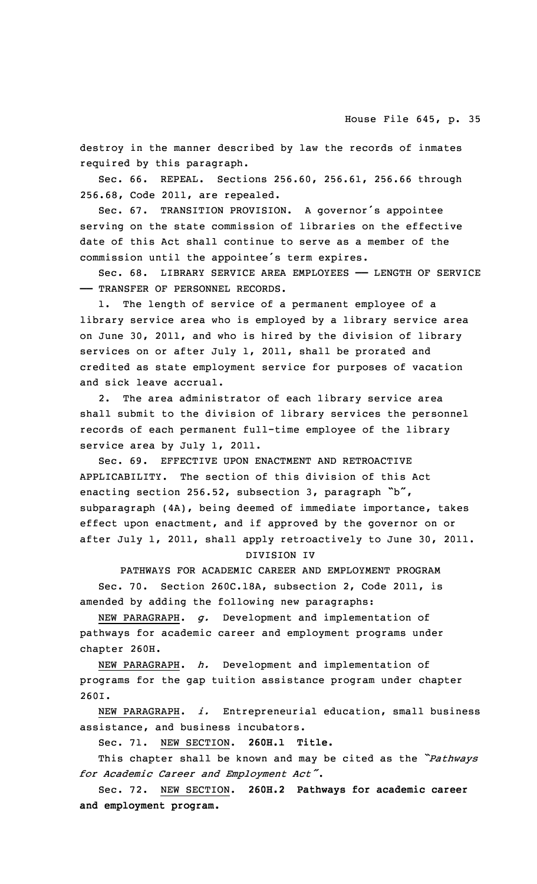destroy in the manner described by law the records of inmates required by this paragraph.

Sec. 66. REPEAL. Sections 256.60, 256.61, 256.66 through 256.68, Code 2011, are repealed.

Sec. 67. TRANSITION PROVISION. <sup>A</sup> governor's appointee serving on the state commission of libraries on the effective date of this Act shall continue to serve as <sup>a</sup> member of the commission until the appointee's term expires.

Sec. 68. LIBRARY SERVICE AREA EMPLOYEES —— LENGTH OF SERVICE —— TRANSFER OF PERSONNEL RECORDS.

1. The length of service of <sup>a</sup> permanent employee of <sup>a</sup> library service area who is employed by <sup>a</sup> library service area on June 30, 2011, and who is hired by the division of library services on or after July 1, 2011, shall be prorated and credited as state employment service for purposes of vacation and sick leave accrual.

2. The area administrator of each library service area shall submit to the division of library services the personnel records of each permanent full-time employee of the library service area by July 1, 2011.

Sec. 69. EFFECTIVE UPON ENACTMENT AND RETROACTIVE APPLICABILITY. The section of this division of this Act enacting section 256.52, subsection 3, paragraph "b", subparagraph (4A), being deemed of immediate importance, takes effect upon enactment, and if approved by the governor on or after July 1, 2011, shall apply retroactively to June 30, 2011.

DIVISION IV

PATHWAYS FOR ACADEMIC CAREER AND EMPLOYMENT PROGRAM Sec. 70. Section 260C.18A, subsection 2, Code 2011, is amended by adding the following new paragraphs:

NEW PARAGRAPH. *g.* Development and implementation of pathways for academic career and employment programs under chapter 260H.

NEW PARAGRAPH. *h.* Development and implementation of programs for the gap tuition assistance program under chapter 260I.

NEW PARAGRAPH. *i.* Entrepreneurial education, small business assistance, and business incubators.

Sec. 71. NEW SECTION. **260H.1 Title.**

This chapter shall be known and may be cited as the *"Pathways for Academic Career and Employment Act"*.

Sec. 72. NEW SECTION. **260H.2 Pathways for academic career and employment program.**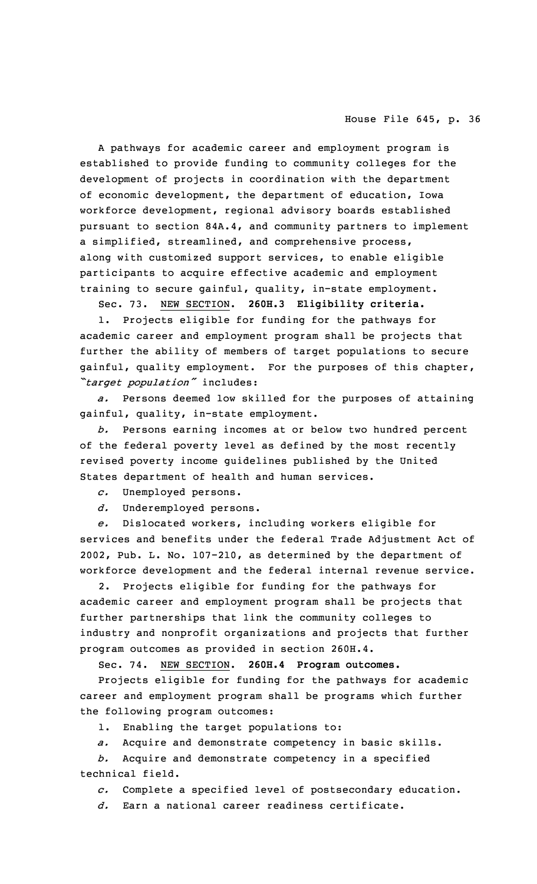<sup>A</sup> pathways for academic career and employment program is established to provide funding to community colleges for the development of projects in coordination with the department of economic development, the department of education, Iowa workforce development, regional advisory boards established pursuant to section 84A.4, and community partners to implement <sup>a</sup> simplified, streamlined, and comprehensive process, along with customized support services, to enable eligible participants to acquire effective academic and employment training to secure gainful, quality, in-state employment.

Sec. 73. NEW SECTION. **260H.3 Eligibility criteria.**

1. Projects eligible for funding for the pathways for academic career and employment program shall be projects that further the ability of members of target populations to secure gainful, quality employment. For the purposes of this chapter, *"target population"* includes:

*a.* Persons deemed low skilled for the purposes of attaining gainful, quality, in-state employment.

*b.* Persons earning incomes at or below two hundred percent of the federal poverty level as defined by the most recently revised poverty income guidelines published by the United States department of health and human services.

*c.* Unemployed persons.

*d.* Underemployed persons.

*e.* Dislocated workers, including workers eligible for services and benefits under the federal Trade Adjustment Act of 2002, Pub. L. No. 107-210, as determined by the department of workforce development and the federal internal revenue service.

Projects eligible for funding for the pathways for academic career and employment program shall be projects that further partnerships that link the community colleges to industry and nonprofit organizations and projects that further program outcomes as provided in section 260H.4.

Sec. 74. NEW SECTION. **260H.4 Program outcomes.**

Projects eligible for funding for the pathways for academic career and employment program shall be programs which further the following program outcomes:

1. Enabling the target populations to:

*a.* Acquire and demonstrate competency in basic skills.

*b.* Acquire and demonstrate competency in <sup>a</sup> specified technical field.

*c.* Complete <sup>a</sup> specified level of postsecondary education.

*d.* Earn <sup>a</sup> national career readiness certificate.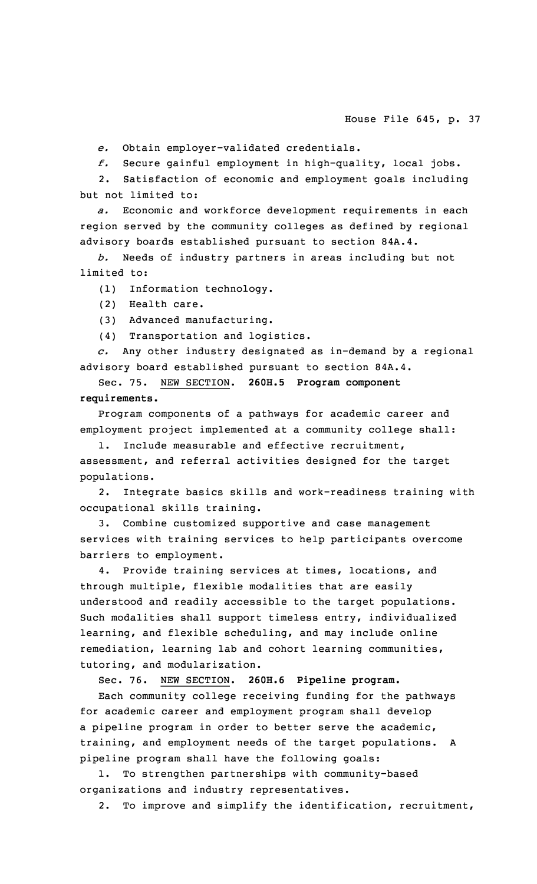*e.* Obtain employer-validated credentials.

*f.* Secure gainful employment in high-quality, local jobs.

2. Satisfaction of economic and employment goals including but not limited to:

*a.* Economic and workforce development requirements in each region served by the community colleges as defined by regional advisory boards established pursuant to section 84A.4.

*b.* Needs of industry partners in areas including but not limited to:

(1) Information technology.

- (2) Health care.
- (3) Advanced manufacturing.

(4) Transportation and logistics.

*c.* Any other industry designated as in-demand by <sup>a</sup> regional advisory board established pursuant to section 84A.4.

Sec. 75. NEW SECTION. **260H.5 Program component requirements.**

Program components of <sup>a</sup> pathways for academic career and employment project implemented at <sup>a</sup> community college shall:

Include measurable and effective recruitment, assessment, and referral activities designed for the target populations.

2. Integrate basics skills and work-readiness training with occupational skills training.

3. Combine customized supportive and case management services with training services to help participants overcome barriers to employment.

4. Provide training services at times, locations, and through multiple, flexible modalities that are easily understood and readily accessible to the target populations. Such modalities shall support timeless entry, individualized learning, and flexible scheduling, and may include online remediation, learning lab and cohort learning communities, tutoring, and modularization.

Sec. 76. NEW SECTION. **260H.6 Pipeline program.**

Each community college receiving funding for the pathways for academic career and employment program shall develop <sup>a</sup> pipeline program in order to better serve the academic, training, and employment needs of the target populations. <sup>A</sup> pipeline program shall have the following goals:

1. To strengthen partnerships with community-based organizations and industry representatives.

2. To improve and simplify the identification, recruitment,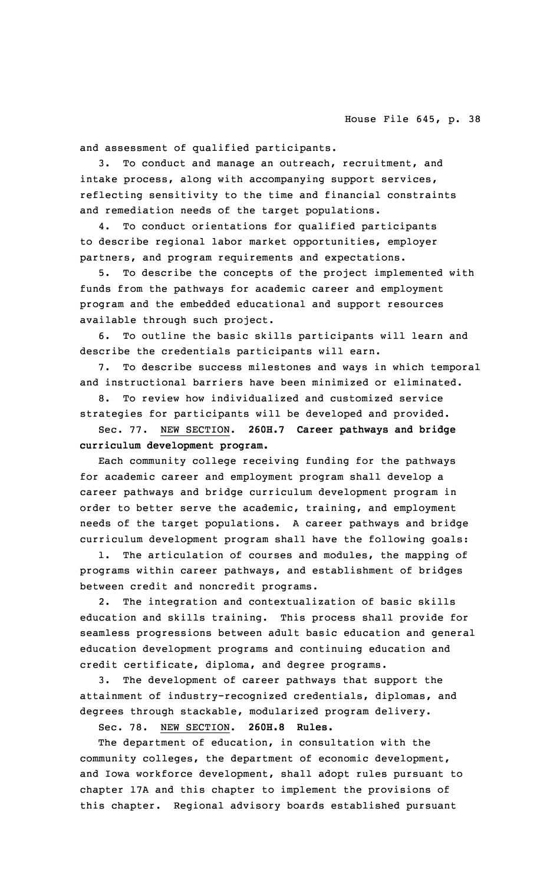and assessment of qualified participants.

3. To conduct and manage an outreach, recruitment, and intake process, along with accompanying support services, reflecting sensitivity to the time and financial constraints and remediation needs of the target populations.

4. To conduct orientations for qualified participants to describe regional labor market opportunities, employer partners, and program requirements and expectations.

5. To describe the concepts of the project implemented with funds from the pathways for academic career and employment program and the embedded educational and support resources available through such project.

6. To outline the basic skills participants will learn and describe the credentials participants will earn.

7. To describe success milestones and ways in which temporal and instructional barriers have been minimized or eliminated.

8. To review how individualized and customized service strategies for participants will be developed and provided.

Sec. 77. NEW SECTION. **260H.7 Career pathways and bridge curriculum development program.**

Each community college receiving funding for the pathways for academic career and employment program shall develop <sup>a</sup> career pathways and bridge curriculum development program in order to better serve the academic, training, and employment needs of the target populations. <sup>A</sup> career pathways and bridge curriculum development program shall have the following goals:

1. The articulation of courses and modules, the mapping of programs within career pathways, and establishment of bridges between credit and noncredit programs.

2. The integration and contextualization of basic skills education and skills training. This process shall provide for seamless progressions between adult basic education and general education development programs and continuing education and credit certificate, diploma, and degree programs.

The development of career pathways that support the attainment of industry-recognized credentials, diplomas, and degrees through stackable, modularized program delivery.

Sec. 78. NEW SECTION. **260H.8 Rules.**

The department of education, in consultation with the community colleges, the department of economic development, and Iowa workforce development, shall adopt rules pursuant to chapter 17A and this chapter to implement the provisions of this chapter. Regional advisory boards established pursuant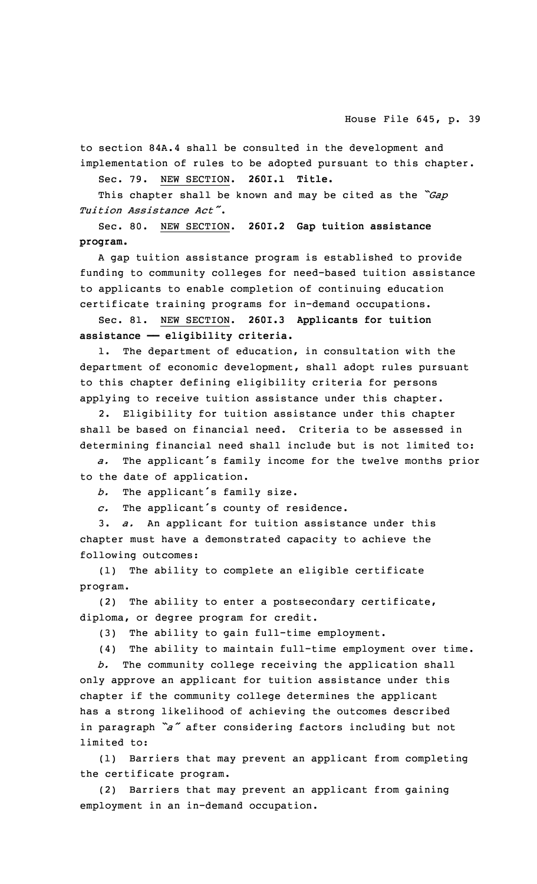to section 84A.4 shall be consulted in the development and implementation of rules to be adopted pursuant to this chapter.

Sec. 79. NEW SECTION. **260I.1 Title.**

This chapter shall be known and may be cited as the *"Gap Tuition Assistance Act"*.

Sec. 80. NEW SECTION. **260I.2 Gap tuition assistance program.**

<sup>A</sup> gap tuition assistance program is established to provide funding to community colleges for need-based tuition assistance to applicants to enable completion of continuing education certificate training programs for in-demand occupations.

Sec. 81. NEW SECTION. **260I.3 Applicants for tuition assistance —— eligibility criteria.**

1. The department of education, in consultation with the department of economic development, shall adopt rules pursuant to this chapter defining eligibility criteria for persons applying to receive tuition assistance under this chapter.

2. Eligibility for tuition assistance under this chapter shall be based on financial need. Criteria to be assessed in determining financial need shall include but is not limited to:

*a.* The applicant's family income for the twelve months prior to the date of application.

*b.* The applicant's family size.

*c.* The applicant's county of residence.

3. *a.* An applicant for tuition assistance under this chapter must have <sup>a</sup> demonstrated capacity to achieve the following outcomes:

(1) The ability to complete an eligible certificate program.

(2) The ability to enter <sup>a</sup> postsecondary certificate, diploma, or degree program for credit.

(3) The ability to gain full-time employment.

(4) The ability to maintain full-time employment over time.

*b.* The community college receiving the application shall only approve an applicant for tuition assistance under this chapter if the community college determines the applicant has <sup>a</sup> strong likelihood of achieving the outcomes described in paragraph *"a"* after considering factors including but not limited to:

(1) Barriers that may prevent an applicant from completing the certificate program.

(2) Barriers that may prevent an applicant from gaining employment in an in-demand occupation.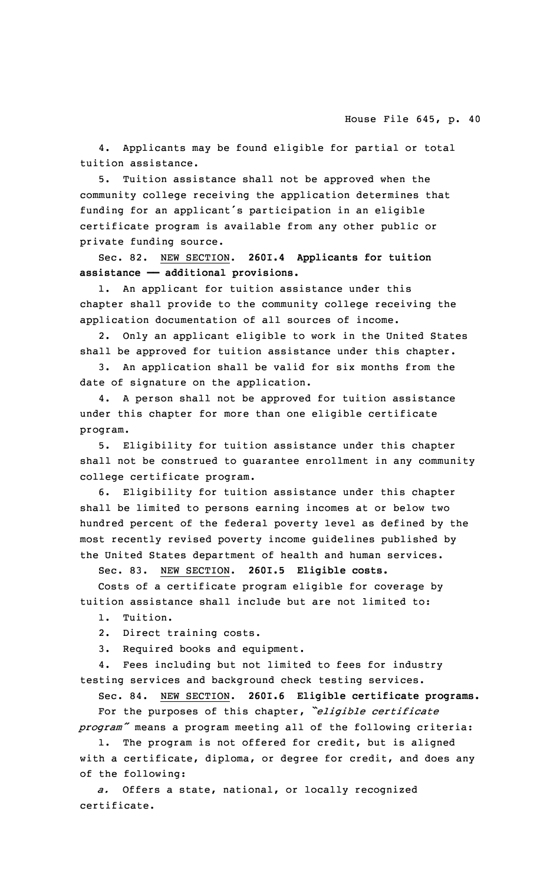4. Applicants may be found eligible for partial or total tuition assistance.

5. Tuition assistance shall not be approved when the community college receiving the application determines that funding for an applicant's participation in an eligible certificate program is available from any other public or private funding source.

Sec. 82. NEW SECTION. **260I.4 Applicants for tuition assistance —— additional provisions.**

1. An applicant for tuition assistance under this chapter shall provide to the community college receiving the application documentation of all sources of income.

2. Only an applicant eligible to work in the United States shall be approved for tuition assistance under this chapter.

3. An application shall be valid for six months from the date of signature on the application.

4. <sup>A</sup> person shall not be approved for tuition assistance under this chapter for more than one eligible certificate program.

5. Eligibility for tuition assistance under this chapter shall not be construed to guarantee enrollment in any community college certificate program.

6. Eligibility for tuition assistance under this chapter shall be limited to persons earning incomes at or below two hundred percent of the federal poverty level as defined by the most recently revised poverty income guidelines published by the United States department of health and human services.

Sec. 83. NEW SECTION. **260I.5 Eligible costs.**

Costs of <sup>a</sup> certificate program eligible for coverage by tuition assistance shall include but are not limited to:

1. Tuition.

2. Direct training costs.

3. Required books and equipment.

4. Fees including but not limited to fees for industry testing services and background check testing services.

Sec. 84. NEW SECTION. **260I.6 Eligible certificate programs.** For the purposes of this chapter, *"eligible certificate program"* means <sup>a</sup> program meeting all of the following criteria:

The program is not offered for credit, but is aligned with <sup>a</sup> certificate, diploma, or degree for credit, and does any of the following:

*a.* Offers <sup>a</sup> state, national, or locally recognized certificate.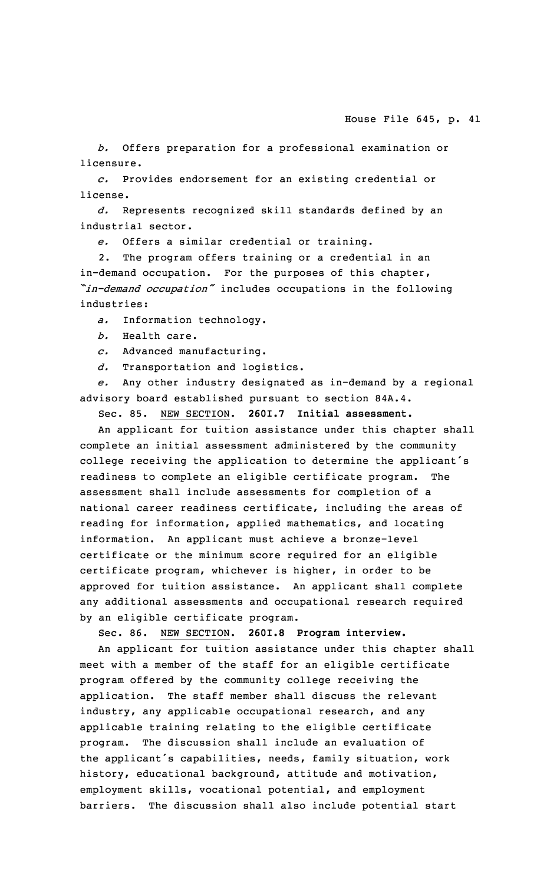*b.* Offers preparation for <sup>a</sup> professional examination or licensure.

*c.* Provides endorsement for an existing credential or license.

*d.* Represents recognized skill standards defined by an industrial sector.

*e.* Offers <sup>a</sup> similar credential or training.

2. The program offers training or <sup>a</sup> credential in an in-demand occupation. For the purposes of this chapter, *"in-demand occupation"* includes occupations in the following industries:

*a.* Information technology.

*b.* Health care.

*c.* Advanced manufacturing.

*d.* Transportation and logistics.

*e.* Any other industry designated as in-demand by <sup>a</sup> regional advisory board established pursuant to section 84A.4.

Sec. 85. NEW SECTION. **260I.7 Initial assessment.**

An applicant for tuition assistance under this chapter shall complete an initial assessment administered by the community college receiving the application to determine the applicant's readiness to complete an eligible certificate program. The assessment shall include assessments for completion of <sup>a</sup> national career readiness certificate, including the areas of reading for information, applied mathematics, and locating information. An applicant must achieve <sup>a</sup> bronze-level certificate or the minimum score required for an eligible certificate program, whichever is higher, in order to be approved for tuition assistance. An applicant shall complete any additional assessments and occupational research required by an eligible certificate program.

Sec. 86. NEW SECTION. **260I.8 Program interview.**

An applicant for tuition assistance under this chapter shall meet with <sup>a</sup> member of the staff for an eligible certificate program offered by the community college receiving the application. The staff member shall discuss the relevant industry, any applicable occupational research, and any applicable training relating to the eligible certificate program. The discussion shall include an evaluation of the applicant's capabilities, needs, family situation, work history, educational background, attitude and motivation, employment skills, vocational potential, and employment barriers. The discussion shall also include potential start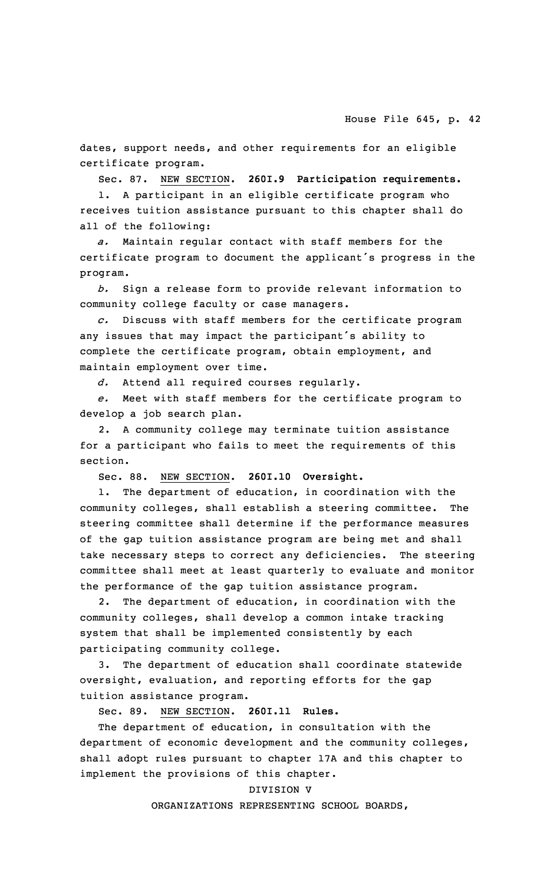dates, support needs, and other requirements for an eligible certificate program.

Sec. 87. NEW SECTION. **260I.9 Participation requirements.**

1. <sup>A</sup> participant in an eligible certificate program who receives tuition assistance pursuant to this chapter shall do all of the following:

*a.* Maintain regular contact with staff members for the certificate program to document the applicant's progress in the program.

*b.* Sign <sup>a</sup> release form to provide relevant information to community college faculty or case managers.

*c.* Discuss with staff members for the certificate program any issues that may impact the participant's ability to complete the certificate program, obtain employment, and maintain employment over time.

*d.* Attend all required courses regularly.

*e.* Meet with staff members for the certificate program to develop <sup>a</sup> job search plan.

2. <sup>A</sup> community college may terminate tuition assistance for <sup>a</sup> participant who fails to meet the requirements of this section.

Sec. 88. NEW SECTION. **260I.10 Oversight.**

1. The department of education, in coordination with the community colleges, shall establish <sup>a</sup> steering committee. The steering committee shall determine if the performance measures of the gap tuition assistance program are being met and shall take necessary steps to correct any deficiencies. The steering committee shall meet at least quarterly to evaluate and monitor the performance of the gap tuition assistance program.

2. The department of education, in coordination with the community colleges, shall develop <sup>a</sup> common intake tracking system that shall be implemented consistently by each participating community college.

3. The department of education shall coordinate statewide oversight, evaluation, and reporting efforts for the gap tuition assistance program.

Sec. 89. NEW SECTION. **260I.11 Rules.**

The department of education, in consultation with the department of economic development and the community colleges, shall adopt rules pursuant to chapter 17A and this chapter to implement the provisions of this chapter.

#### DIVISION V

ORGANIZATIONS REPRESENTING SCHOOL BOARDS,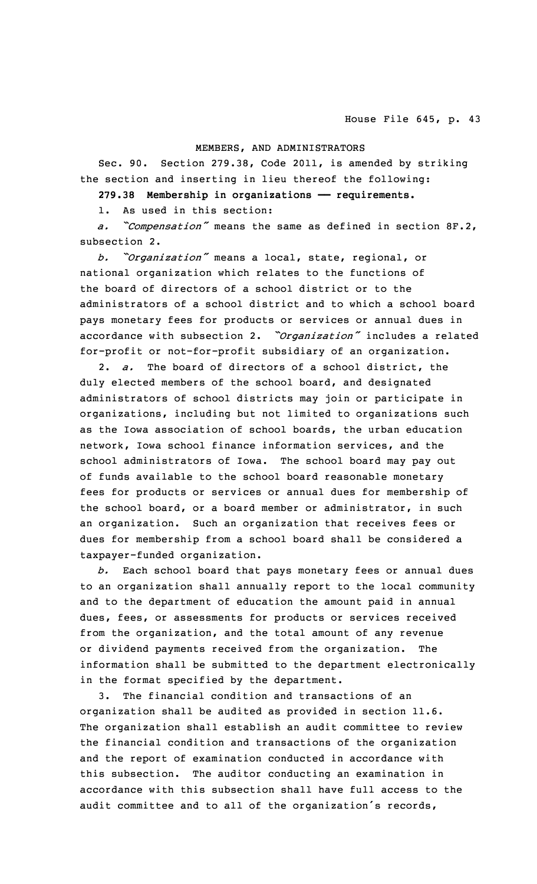# MEMBERS, AND ADMINISTRATORS

Sec. 90. Section 279.38, Code 2011, is amended by striking the section and inserting in lieu thereof the following:

**279.38 Membership in organizations —— requirements.**

1. As used in this section:

*a. "Compensation"* means the same as defined in section 8F.2, subsection 2.

*b. "Organization"* means <sup>a</sup> local, state, regional, or national organization which relates to the functions of the board of directors of <sup>a</sup> school district or to the administrators of <sup>a</sup> school district and to which <sup>a</sup> school board pays monetary fees for products or services or annual dues in accordance with subsection 2. *"Organization"* includes <sup>a</sup> related for-profit or not-for-profit subsidiary of an organization.

2. *a.* The board of directors of <sup>a</sup> school district, the duly elected members of the school board, and designated administrators of school districts may join or participate in organizations, including but not limited to organizations such as the Iowa association of school boards, the urban education network, Iowa school finance information services, and the school administrators of Iowa. The school board may pay out of funds available to the school board reasonable monetary fees for products or services or annual dues for membership of the school board, or <sup>a</sup> board member or administrator, in such an organization. Such an organization that receives fees or dues for membership from <sup>a</sup> school board shall be considered <sup>a</sup> taxpayer-funded organization.

*b.* Each school board that pays monetary fees or annual dues to an organization shall annually report to the local community and to the department of education the amount paid in annual dues, fees, or assessments for products or services received from the organization, and the total amount of any revenue or dividend payments received from the organization. The information shall be submitted to the department electronically in the format specified by the department.

3. The financial condition and transactions of an organization shall be audited as provided in section 11.6. The organization shall establish an audit committee to review the financial condition and transactions of the organization and the report of examination conducted in accordance with this subsection. The auditor conducting an examination in accordance with this subsection shall have full access to the audit committee and to all of the organization's records,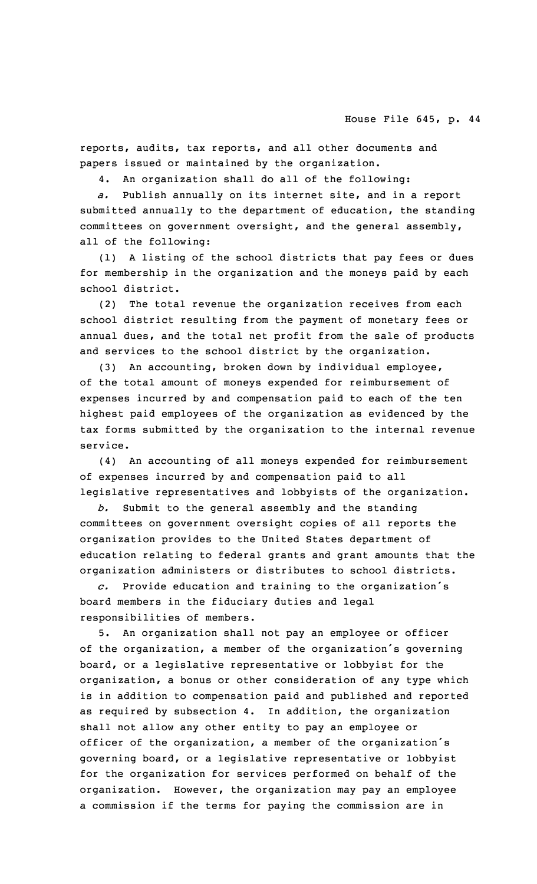reports, audits, tax reports, and all other documents and papers issued or maintained by the organization.

4. An organization shall do all of the following:

*a.* Publish annually on its internet site, and in <sup>a</sup> report submitted annually to the department of education, the standing committees on government oversight, and the general assembly, all of the following:

(1) <sup>A</sup> listing of the school districts that pay fees or dues for membership in the organization and the moneys paid by each school district.

(2) The total revenue the organization receives from each school district resulting from the payment of monetary fees or annual dues, and the total net profit from the sale of products and services to the school district by the organization.

(3) An accounting, broken down by individual employee, of the total amount of moneys expended for reimbursement of expenses incurred by and compensation paid to each of the ten highest paid employees of the organization as evidenced by the tax forms submitted by the organization to the internal revenue service.

(4) An accounting of all moneys expended for reimbursement of expenses incurred by and compensation paid to all legislative representatives and lobbyists of the organization.

*b.* Submit to the general assembly and the standing committees on government oversight copies of all reports the organization provides to the United States department of education relating to federal grants and grant amounts that the organization administers or distributes to school districts.

*c.* Provide education and training to the organization's board members in the fiduciary duties and legal responsibilities of members.

An organization shall not pay an employee or officer of the organization, <sup>a</sup> member of the organization's governing board, or <sup>a</sup> legislative representative or lobbyist for the organization, <sup>a</sup> bonus or other consideration of any type which is in addition to compensation paid and published and reported as required by subsection 4. In addition, the organization shall not allow any other entity to pay an employee or officer of the organization, <sup>a</sup> member of the organization's governing board, or <sup>a</sup> legislative representative or lobbyist for the organization for services performed on behalf of the organization. However, the organization may pay an employee <sup>a</sup> commission if the terms for paying the commission are in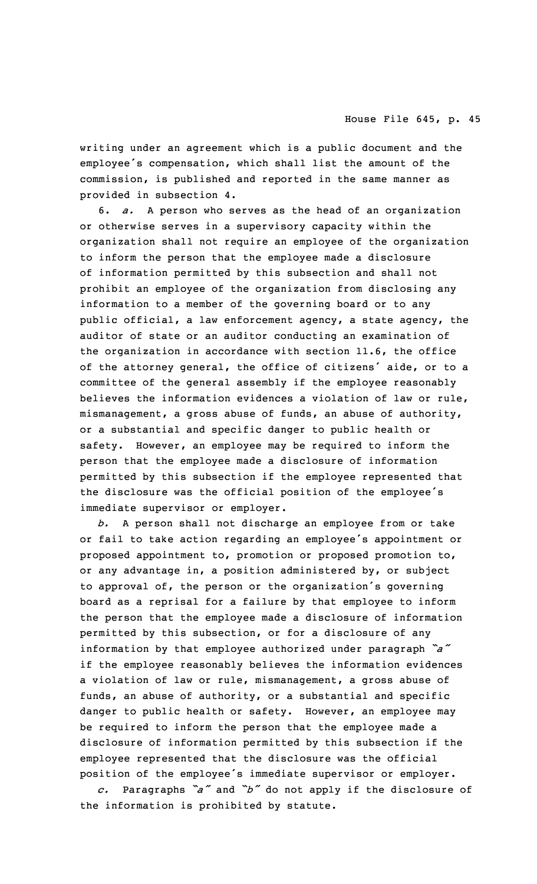writing under an agreement which is <sup>a</sup> public document and the employee's compensation, which shall list the amount of the commission, is published and reported in the same manner as provided in subsection 4.

6. *a.* <sup>A</sup> person who serves as the head of an organization or otherwise serves in <sup>a</sup> supervisory capacity within the organization shall not require an employee of the organization to inform the person that the employee made <sup>a</sup> disclosure of information permitted by this subsection and shall not prohibit an employee of the organization from disclosing any information to <sup>a</sup> member of the governing board or to any public official, <sup>a</sup> law enforcement agency, <sup>a</sup> state agency, the auditor of state or an auditor conducting an examination of the organization in accordance with section 11.6, the office of the attorney general, the office of citizens' aide, or to <sup>a</sup> committee of the general assembly if the employee reasonably believes the information evidences <sup>a</sup> violation of law or rule, mismanagement, <sup>a</sup> gross abuse of funds, an abuse of authority, or <sup>a</sup> substantial and specific danger to public health or safety. However, an employee may be required to inform the person that the employee made <sup>a</sup> disclosure of information permitted by this subsection if the employee represented that the disclosure was the official position of the employee's immediate supervisor or employer.

*b.* <sup>A</sup> person shall not discharge an employee from or take or fail to take action regarding an employee's appointment or proposed appointment to, promotion or proposed promotion to, or any advantage in, <sup>a</sup> position administered by, or subject to approval of, the person or the organization's governing board as <sup>a</sup> reprisal for <sup>a</sup> failure by that employee to inform the person that the employee made <sup>a</sup> disclosure of information permitted by this subsection, or for <sup>a</sup> disclosure of any information by that employee authorized under paragraph *"a"* if the employee reasonably believes the information evidences <sup>a</sup> violation of law or rule, mismanagement, <sup>a</sup> gross abuse of funds, an abuse of authority, or <sup>a</sup> substantial and specific danger to public health or safety. However, an employee may be required to inform the person that the employee made <sup>a</sup> disclosure of information permitted by this subsection if the employee represented that the disclosure was the official position of the employee's immediate supervisor or employer.

*c.* Paragraphs *"a"* and *"b"* do not apply if the disclosure of the information is prohibited by statute.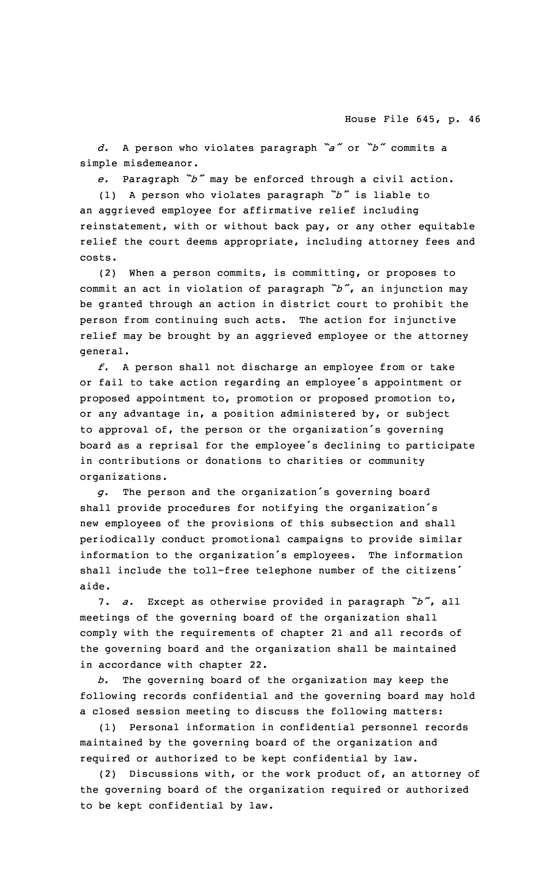*d.* <sup>A</sup> person who violates paragraph *"a"* or *"b"* commits <sup>a</sup> simple misdemeanor.

*e.* Paragraph *"b"* may be enforced through <sup>a</sup> civil action.

(1) <sup>A</sup> person who violates paragraph *"b"* is liable to an aggrieved employee for affirmative relief including reinstatement, with or without back pay, or any other equitable relief the court deems appropriate, including attorney fees and costs.

(2) When <sup>a</sup> person commits, is committing, or proposes to commit an act in violation of paragraph *"b"*, an injunction may be granted through an action in district court to prohibit the person from continuing such acts. The action for injunctive relief may be brought by an aggrieved employee or the attorney general.

*f.* <sup>A</sup> person shall not discharge an employee from or take or fail to take action regarding an employee's appointment or proposed appointment to, promotion or proposed promotion to, or any advantage in, <sup>a</sup> position administered by, or subject to approval of, the person or the organization's governing board as <sup>a</sup> reprisal for the employee's declining to participate in contributions or donations to charities or community organizations.

*g.* The person and the organization's governing board shall provide procedures for notifying the organization's new employees of the provisions of this subsection and shall periodically conduct promotional campaigns to provide similar information to the organization's employees. The information shall include the toll-free telephone number of the citizens' aide.

7. *a.* Except as otherwise provided in paragraph *"b"*, all meetings of the governing board of the organization shall comply with the requirements of chapter 21 and all records of the governing board and the organization shall be maintained in accordance with chapter 22.

*b.* The governing board of the organization may keep the following records confidential and the governing board may hold <sup>a</sup> closed session meeting to discuss the following matters:

(1) Personal information in confidential personnel records maintained by the governing board of the organization and required or authorized to be kept confidential by law.

(2) Discussions with, or the work product of, an attorney of the governing board of the organization required or authorized to be kept confidential by law.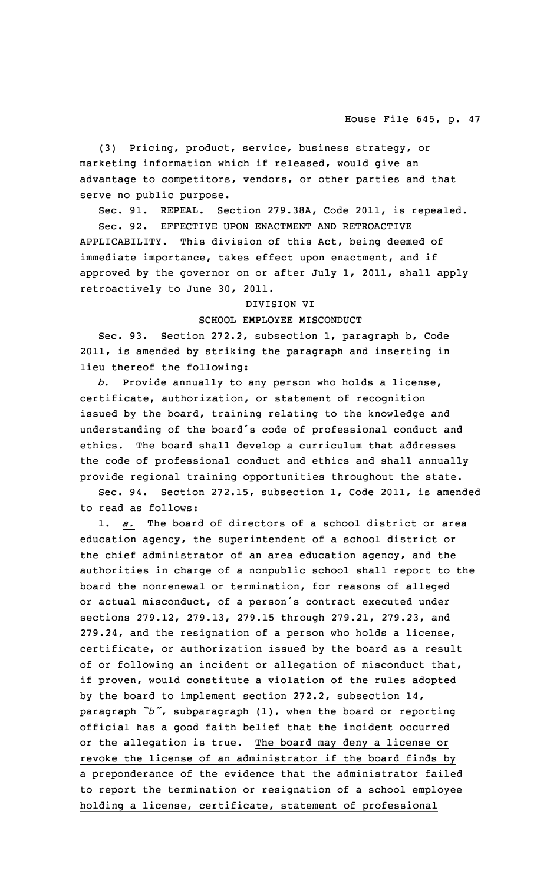(3) Pricing, product, service, business strategy, or marketing information which if released, would give an advantage to competitors, vendors, or other parties and that serve no public purpose.

Sec. 91. REPEAL. Section 279.38A, Code 2011, is repealed.

Sec. 92. EFFECTIVE UPON ENACTMENT AND RETROACTIVE APPLICABILITY. This division of this Act, being deemed of immediate importance, takes effect upon enactment, and if approved by the governor on or after July 1, 2011, shall apply retroactively to June 30, 2011.

#### DIVISION VI

# SCHOOL EMPLOYEE MISCONDUCT

Sec. 93. Section 272.2, subsection 1, paragraph b, Code 2011, is amended by striking the paragraph and inserting in lieu thereof the following:

*b.* Provide annually to any person who holds <sup>a</sup> license, certificate, authorization, or statement of recognition issued by the board, training relating to the knowledge and understanding of the board's code of professional conduct and ethics. The board shall develop <sup>a</sup> curriculum that addresses the code of professional conduct and ethics and shall annually provide regional training opportunities throughout the state.

Sec. 94. Section 272.15, subsection 1, Code 2011, is amended to read as follows:

a. The board of directors of a school district or area education agency, the superintendent of <sup>a</sup> school district or the chief administrator of an area education agency, and the authorities in charge of <sup>a</sup> nonpublic school shall report to the board the nonrenewal or termination, for reasons of alleged or actual misconduct, of <sup>a</sup> person's contract executed under sections 279.12, 279.13, 279.15 through 279.21, 279.23, and 279.24, and the resignation of <sup>a</sup> person who holds <sup>a</sup> license, certificate, or authorization issued by the board as <sup>a</sup> result of or following an incident or allegation of misconduct that, if proven, would constitute <sup>a</sup> violation of the rules adopted by the board to implement section 272.2, subsection 14, paragraph *"b"*, subparagraph (1), when the board or reporting official has <sup>a</sup> good faith belief that the incident occurred or the allegation is true. The board may deny <sup>a</sup> license or revoke the license of an administrator if the board finds by <sup>a</sup> preponderance of the evidence that the administrator failed to report the termination or resignation of <sup>a</sup> school employee holding <sup>a</sup> license, certificate, statement of professional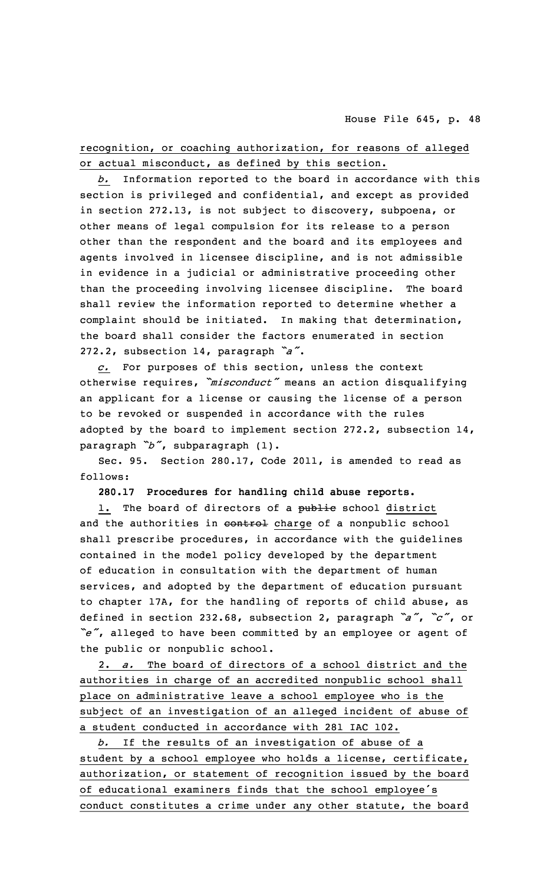recognition, or coaching authorization, for reasons of alleged or actual misconduct, as defined by this section.

*b.* Information reported to the board in accordance with this section is privileged and confidential, and except as provided in section 272.13, is not subject to discovery, subpoena, or other means of legal compulsion for its release to <sup>a</sup> person other than the respondent and the board and its employees and agents involved in licensee discipline, and is not admissible in evidence in <sup>a</sup> judicial or administrative proceeding other than the proceeding involving licensee discipline. The board shall review the information reported to determine whether <sup>a</sup> complaint should be initiated. In making that determination, the board shall consider the factors enumerated in section 272.2, subsection 14, paragraph *"a"*.

*c.* For purposes of this section, unless the context otherwise requires, *"misconduct"* means an action disqualifying an applicant for <sup>a</sup> license or causing the license of <sup>a</sup> person to be revoked or suspended in accordance with the rules adopted by the board to implement section 272.2, subsection  $14$ , paragraph *"b"*, subparagraph (1).

Sec. 95. Section 280.17, Code 2011, is amended to read as follows:

**280.17 Procedures for handling child abuse reports.**

1. The board of directors of a public school district and the authorities in control charge of a nonpublic school shall prescribe procedures, in accordance with the guidelines contained in the model policy developed by the department of education in consultation with the department of human services, and adopted by the department of education pursuant to chapter 17A, for the handling of reports of child abuse, as defined in section 232.68, subsection 2, paragraph *"a"*, *"c"*, or *"e"*, alleged to have been committed by an employee or agent of the public or nonpublic school.

2. *a.* The board of directors of <sup>a</sup> school district and the authorities in charge of an accredited nonpublic school shall place on administrative leave <sup>a</sup> school employee who is the subject of an investigation of an alleged incident of abuse of <sup>a</sup> student conducted in accordance with 281 IAC 102.

*b.* If the results of an investigation of abuse of <sup>a</sup> student by <sup>a</sup> school employee who holds <sup>a</sup> license, certificate, authorization, or statement of recognition issued by the board of educational examiners finds that the school employee's conduct constitutes <sup>a</sup> crime under any other statute, the board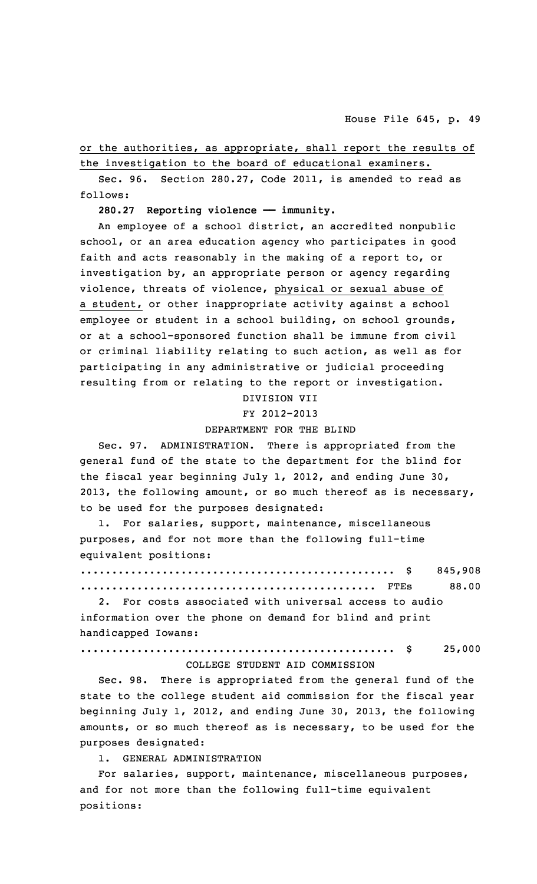or the authorities, as appropriate, shall report the results of the investigation to the board of educational examiners.

Sec. 96. Section 280.27, Code 2011, is amended to read as follows:

**280.27 Reporting violence —— immunity.**

An employee of <sup>a</sup> school district, an accredited nonpublic school, or an area education agency who participates in good faith and acts reasonably in the making of <sup>a</sup> report to, or investigation by, an appropriate person or agency regarding violence, threats of violence, physical or sexual abuse of <sup>a</sup> student, or other inappropriate activity against <sup>a</sup> school employee or student in <sup>a</sup> school building, on school grounds, or at <sup>a</sup> school-sponsored function shall be immune from civil or criminal liability relating to such action, as well as for participating in any administrative or judicial proceeding resulting from or relating to the report or investigation.

DIVISION VII

FY 2012-2013

#### DEPARTMENT FOR THE BLIND

Sec. 97. ADMINISTRATION. There is appropriated from the general fund of the state to the department for the blind for the fiscal year beginning July 1, 2012, and ending June 30, 2013, the following amount, or so much thereof as is necessary, to be used for the purposes designated:

1. For salaries, support, maintenance, miscellaneous purposes, and for not more than the following full-time equivalent positions:

.................................................. \$ 845,908 ............................................... FTEs 88.00 2. For costs associated with universal access to audio

information over the phone on demand for blind and print handicapped Iowans:

.................................................. \$ 25,000

## COLLEGE STUDENT AID COMMISSION

Sec. 98. There is appropriated from the general fund of the state to the college student aid commission for the fiscal year beginning July 1, 2012, and ending June 30, 2013, the following amounts, or so much thereof as is necessary, to be used for the purposes designated:

1. GENERAL ADMINISTRATION

For salaries, support, maintenance, miscellaneous purposes, and for not more than the following full-time equivalent positions: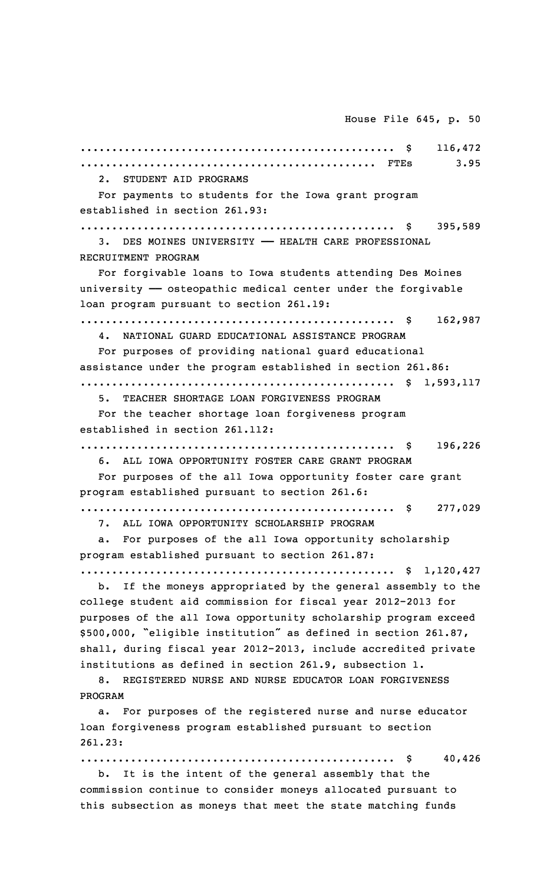.................................................. \$ 116,472 ............................................... FTEs 3.95 2. STUDENT AID PROGRAMS For payments to students for the Iowa grant program established in section 261.93: .................................................. \$ 395,589 3. DES MOINES UNIVERSITY —— HEALTH CARE PROFESSIONAL RECRUITMENT PROGRAM For forgivable loans to Iowa students attending Des Moines university  $-$  osteopathic medical center under the forgivable loan program pursuant to section 261.19: .................................................. \$ 162,987 4. NATIONAL GUARD EDUCATIONAL ASSISTANCE PROGRAM For purposes of providing national guard educational assistance under the program established in section 261.86: .................................................. \$ 1,593,117 5. TEACHER SHORTAGE LOAN FORGIVENESS PROGRAM For the teacher shortage loan forgiveness program established in section 261.112: .................................................. \$ 196,226 6. ALL IOWA OPPORTUNITY FOSTER CARE GRANT PROGRAM For purposes of the all Iowa opportunity foster care grant program established pursuant to section 261.6: .................................................. \$ 277,029 7. ALL IOWA OPPORTUNITY SCHOLARSHIP PROGRAM a. For purposes of the all Iowa opportunity scholarship program established pursuant to section 261.87: .................................................. \$ 1,120,427 b. If the moneys appropriated by the general assembly to the college student aid commission for fiscal year 2012-2013 for purposes of the all Iowa opportunity scholarship program exceed \$500,000, "eligible institution" as defined in section 261.87, shall, during fiscal year 2012-2013, include accredited private institutions as defined in section 261.9, subsection 1. 8. REGISTERED NURSE AND NURSE EDUCATOR LOAN FORGIVENESS PROGRAM a. For purposes of the registered nurse and nurse educator loan forgiveness program established pursuant to section 261.23: .................................................. \$ 40,426

b. It is the intent of the general assembly that the commission continue to consider moneys allocated pursuant to this subsection as moneys that meet the state matching funds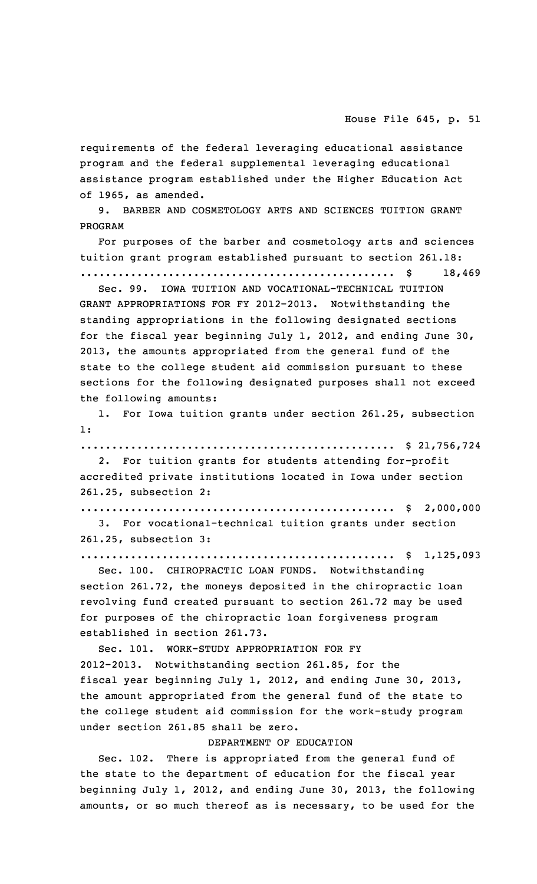requirements of the federal leveraging educational assistance program and the federal supplemental leveraging educational assistance program established under the Higher Education Act of 1965, as amended.

9. BARBER AND COSMETOLOGY ARTS AND SCIENCES TUITION GRANT PROGRAM

For purposes of the barber and cosmetology arts and sciences tuition grant program established pursuant to section 261.18:

.................................................. \$ 18,469 Sec. 99. IOWA TUITION AND VOCATIONAL-TECHNICAL TUITION

GRANT APPROPRIATIONS FOR FY 2012-2013. Notwithstanding the standing appropriations in the following designated sections for the fiscal year beginning July 1, 2012, and ending June 30, 2013, the amounts appropriated from the general fund of the state to the college student aid commission pursuant to these sections for the following designated purposes shall not exceed the following amounts:

1. For Iowa tuition grants under section 261.25, subsection 1:

.................................................. \$ 21,756,724 2. For tuition grants for students attending for-profit

accredited private institutions located in Iowa under section 261.25, subsection 2:

.................................................. \$ 2,000,000

3. For vocational-technical tuition grants under section 261.25, subsection 3:

.................................................. \$ 1,125,093

Sec. 100. CHIROPRACTIC LOAN FUNDS. Notwithstanding section 261.72, the moneys deposited in the chiropractic loan revolving fund created pursuant to section 261.72 may be used for purposes of the chiropractic loan forgiveness program established in section 261.73.

Sec. 101. WORK-STUDY APPROPRIATION FOR FY 2012-2013. Notwithstanding section 261.85, for the fiscal year beginning July 1, 2012, and ending June 30, 2013, the amount appropriated from the general fund of the state to the college student aid commission for the work-study program under section 261.85 shall be zero.

### DEPARTMENT OF EDUCATION

Sec. 102. There is appropriated from the general fund of the state to the department of education for the fiscal year beginning July 1, 2012, and ending June 30, 2013, the following amounts, or so much thereof as is necessary, to be used for the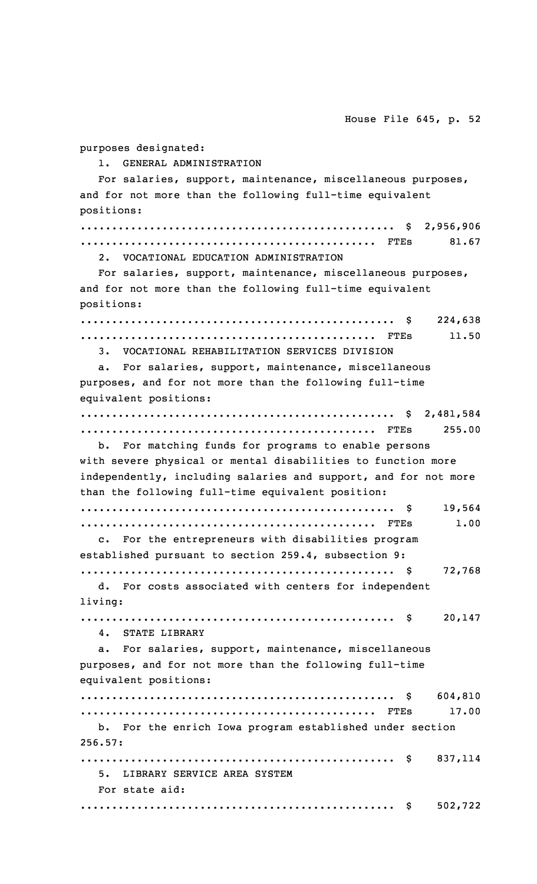1. GENERAL ADMINISTRATION For salaries, support, maintenance, miscellaneous purposes, and for not more than the following full-time equivalent positions: .................................................. \$ 2,956,906 ............................................... FTEs 81.67 2. VOCATIONAL EDUCATION ADMINISTRATION For salaries, support, maintenance, miscellaneous purposes, and for not more than the following full-time equivalent positions: .................................................. \$ 224,638 ............................................... FTEs 11.50 3. VOCATIONAL REHABILITATION SERVICES DIVISION a. For salaries, support, maintenance, miscellaneous purposes, and for not more than the following full-time equivalent positions: .................................................. \$ 2,481,584 ............................................... FTEs 255.00 b. For matching funds for programs to enable persons with severe physical or mental disabilities to function more independently, including salaries and support, and for not more than the following full-time equivalent position: .................................................. \$ 19,564 ............................................... FTEs 1.00 c. For the entrepreneurs with disabilities program established pursuant to section 259.4, subsection 9: .................................................. \$ 72,768 d. For costs associated with centers for independent living: .................................................. \$ 20,147 4. STATE LIBRARY a. For salaries, support, maintenance, miscellaneous purposes, and for not more than the following full-time equivalent positions: .................................................. \$ 604,810 ............................................... FTEs 17.00 b. For the enrich Iowa program established under section 256.57: .................................................. \$ 837,114 5. LIBRARY SERVICE AREA SYSTEM

For state aid: .................................................. \$ 502,722

purposes designated:

House File 645, p. 52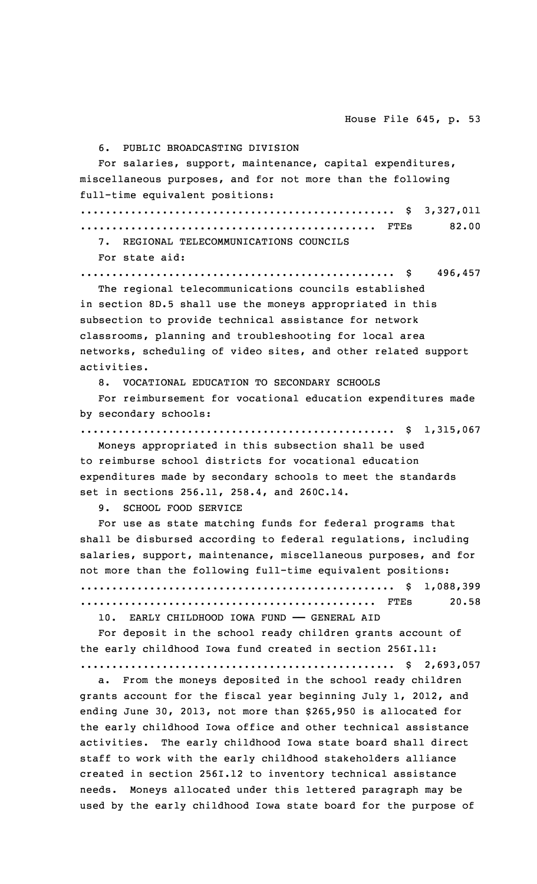6. PUBLIC BROADCASTING DIVISION

For salaries, support, maintenance, capital expenditures, miscellaneous purposes, and for not more than the following full-time equivalent positions:

.................................................. \$ 3,327,011 ............................................... FTEs 82.00

7. REGIONAL TELECOMMUNICATIONS COUNCILS

For state aid:

.................................................. \$ 496,457 The regional telecommunications councils established

in section 8D.5 shall use the moneys appropriated in this subsection to provide technical assistance for network classrooms, planning and troubleshooting for local area networks, scheduling of video sites, and other related support activities.

8. VOCATIONAL EDUCATION TO SECONDARY SCHOOLS

For reimbursement for vocational education expenditures made by secondary schools:

.................................................. \$ 1,315,067

Moneys appropriated in this subsection shall be used to reimburse school districts for vocational education expenditures made by secondary schools to meet the standards set in sections 256.11, 258.4, and 260C.14.

9. SCHOOL FOOD SERVICE

For use as state matching funds for federal programs that shall be disbursed according to federal regulations, including salaries, support, maintenance, miscellaneous purposes, and for not more than the following full-time equivalent positions: .................................................. \$ 1,088,399 ............................................... FTEs 20.58

10. EARLY CHILDHOOD IOWA FUND —— GENERAL AID

For deposit in the school ready children grants account of the early childhood Iowa fund created in section 256I.11:

.................................................. \$ 2,693,057

a. From the moneys deposited in the school ready children grants account for the fiscal year beginning July 1, 2012, and ending June 30, 2013, not more than \$265,950 is allocated for the early childhood Iowa office and other technical assistance activities. The early childhood Iowa state board shall direct staff to work with the early childhood stakeholders alliance created in section 256I.12 to inventory technical assistance needs. Moneys allocated under this lettered paragraph may be used by the early childhood Iowa state board for the purpose of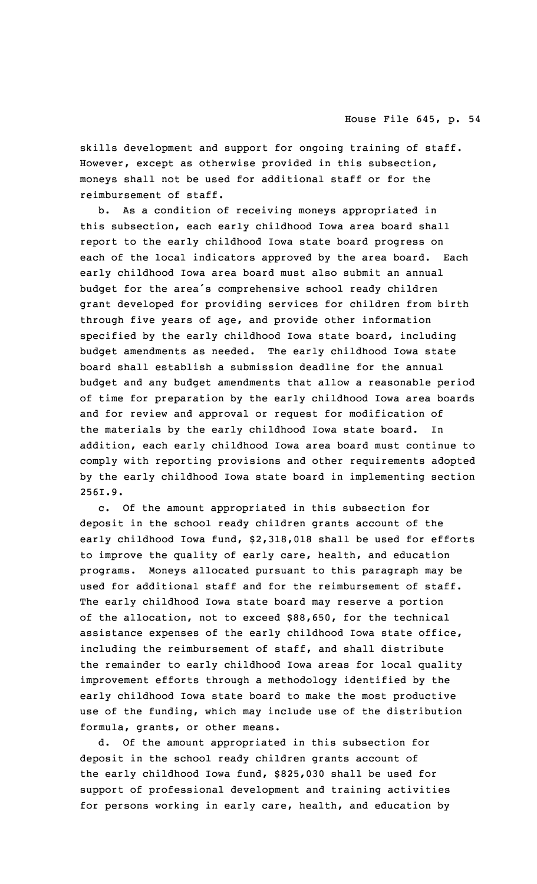skills development and support for ongoing training of staff. However, except as otherwise provided in this subsection, moneys shall not be used for additional staff or for the reimbursement of staff.

b. As <sup>a</sup> condition of receiving moneys appropriated in this subsection, each early childhood Iowa area board shall report to the early childhood Iowa state board progress on each of the local indicators approved by the area board. Each early childhood Iowa area board must also submit an annual budget for the area's comprehensive school ready children grant developed for providing services for children from birth through five years of age, and provide other information specified by the early childhood Iowa state board, including budget amendments as needed. The early childhood Iowa state board shall establish <sup>a</sup> submission deadline for the annual budget and any budget amendments that allow <sup>a</sup> reasonable period of time for preparation by the early childhood Iowa area boards and for review and approval or request for modification of the materials by the early childhood Iowa state board. In addition, each early childhood Iowa area board must continue to comply with reporting provisions and other requirements adopted by the early childhood Iowa state board in implementing section 256I.9.

c. Of the amount appropriated in this subsection for deposit in the school ready children grants account of the early childhood Iowa fund, \$2,318,018 shall be used for efforts to improve the quality of early care, health, and education programs. Moneys allocated pursuant to this paragraph may be used for additional staff and for the reimbursement of staff. The early childhood Iowa state board may reserve <sup>a</sup> portion of the allocation, not to exceed \$88,650, for the technical assistance expenses of the early childhood Iowa state office, including the reimbursement of staff, and shall distribute the remainder to early childhood Iowa areas for local quality improvement efforts through <sup>a</sup> methodology identified by the early childhood Iowa state board to make the most productive use of the funding, which may include use of the distribution formula, grants, or other means.

d. Of the amount appropriated in this subsection for deposit in the school ready children grants account of the early childhood Iowa fund, \$825,030 shall be used for support of professional development and training activities for persons working in early care, health, and education by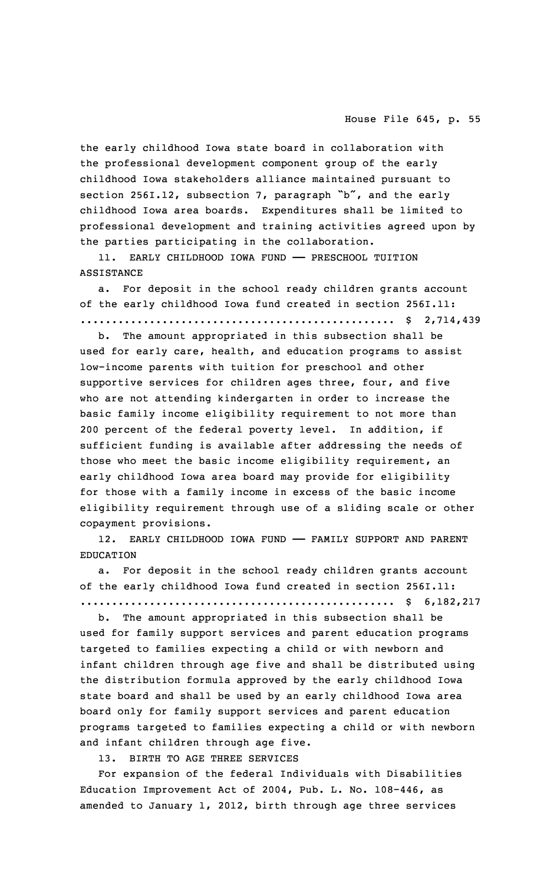the early childhood Iowa state board in collaboration with the professional development component group of the early childhood Iowa stakeholders alliance maintained pursuant to section 256I.12, subsection 7, paragraph "b", and the early childhood Iowa area boards. Expenditures shall be limited to professional development and training activities agreed upon by the parties participating in the collaboration.

11. EARLY CHILDHOOD IOWA FUND —— PRESCHOOL TUITION ASSISTANCE

a. For deposit in the school ready children grants account of the early childhood Iowa fund created in section 256I.11: .................................................. \$ 2,714,439

b. The amount appropriated in this subsection shall be used for early care, health, and education programs to assist low-income parents with tuition for preschool and other supportive services for children ages three, four, and five who are not attending kindergarten in order to increase the basic family income eligibility requirement to not more than 200 percent of the federal poverty level. In addition, if sufficient funding is available after addressing the needs of those who meet the basic income eligibility requirement, an early childhood Iowa area board may provide for eligibility for those with <sup>a</sup> family income in excess of the basic income eligibility requirement through use of <sup>a</sup> sliding scale or other copayment provisions.

12. EARLY CHILDHOOD IOWA FUND —— FAMILY SUPPORT AND PARENT EDUCATION

a. For deposit in the school ready children grants account of the early childhood Iowa fund created in section 256I.11: .................................................. \$ 6,182,217

b. The amount appropriated in this subsection shall be used for family support services and parent education programs targeted to families expecting <sup>a</sup> child or with newborn and infant children through age five and shall be distributed using the distribution formula approved by the early childhood Iowa state board and shall be used by an early childhood Iowa area board only for family support services and parent education programs targeted to families expecting <sup>a</sup> child or with newborn and infant children through age five.

13. BIRTH TO AGE THREE SERVICES

For expansion of the federal Individuals with Disabilities Education Improvement Act of 2004, Pub. L. No. 108-446, as amended to January 1, 2012, birth through age three services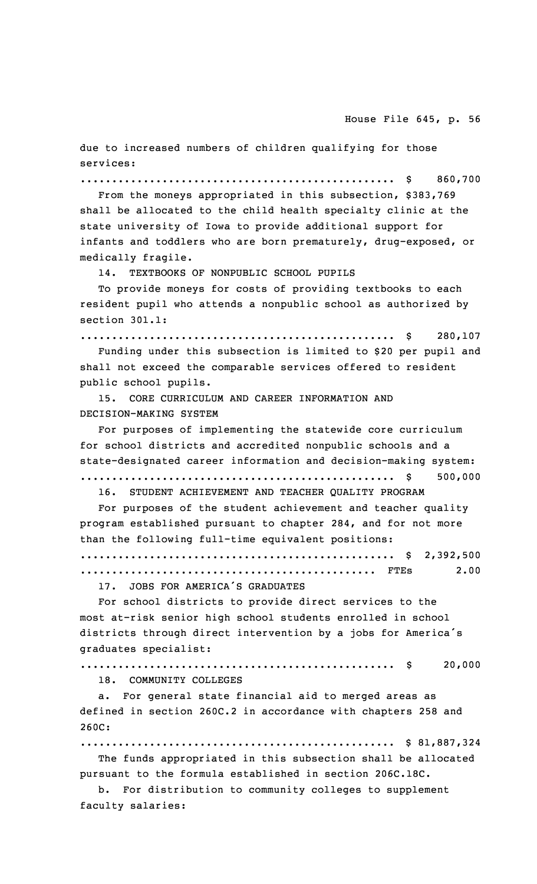due to increased numbers of children qualifying for those services:

.................................................. \$ 860,700

From the moneys appropriated in this subsection, \$383,769 shall be allocated to the child health specialty clinic at the state university of Iowa to provide additional support for infants and toddlers who are born prematurely, drug-exposed, or medically fragile.

14. TEXTBOOKS OF NONPUBLIC SCHOOL PUPILS

To provide moneys for costs of providing textbooks to each resident pupil who attends <sup>a</sup> nonpublic school as authorized by section 301.1:

.................................................. \$ 280,107

Funding under this subsection is limited to \$20 per pupil and shall not exceed the comparable services offered to resident public school pupils.

15. CORE CURRICULUM AND CAREER INFORMATION AND DECISION-MAKING SYSTEM

For purposes of implementing the statewide core curriculum for school districts and accredited nonpublic schools and <sup>a</sup> state-designated career information and decision-making system: .................................................. \$ 500,000 16. STUDENT ACHIEVEMENT AND TEACHER QUALITY PROGRAM

For purposes of the student achievement and teacher quality program established pursuant to chapter 284, and for not more than the following full-time equivalent positions:

.................................................. \$ 2,392,500 ............................................... FTEs 2.00

17. JOBS FOR AMERICA'S GRADUATES

For school districts to provide direct services to the most at-risk senior high school students enrolled in school districts through direct intervention by <sup>a</sup> jobs for America's graduates specialist:

.................................................. \$ 20,000

18. COMMUNITY COLLEGES

a. For general state financial aid to merged areas as defined in section 260C.2 in accordance with chapters 258 and 260C:

.................................................. \$ 81,887,324

The funds appropriated in this subsection shall be allocated pursuant to the formula established in section 206C.18C.

b. For distribution to community colleges to supplement faculty salaries: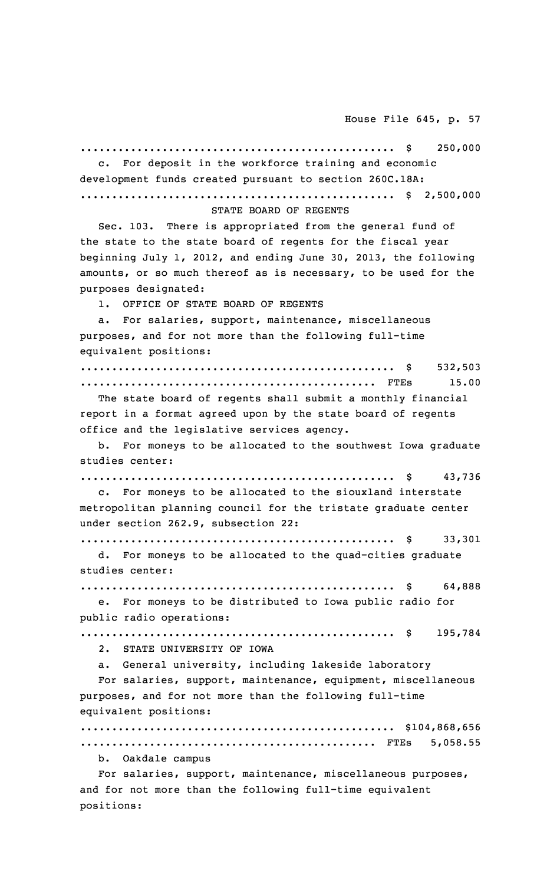.................................................. \$ 250,000 For deposit in the workforce training and economic development funds created pursuant to section 260C.18A: .................................................. \$ 2,500,000 STATE BOARD OF REGENTS Sec. 103. There is appropriated from the general fund of the state to the state board of regents for the fiscal year beginning July 1, 2012, and ending June 30, 2013, the following amounts, or so much thereof as is necessary, to be used for the purposes designated: 1. OFFICE OF STATE BOARD OF REGENTS a. For salaries, support, maintenance, miscellaneous purposes, and for not more than the following full-time equivalent positions: .................................................. \$ 532,503 ............................................... FTEs 15.00 The state board of regents shall submit <sup>a</sup> monthly financial report in <sup>a</sup> format agreed upon by the state board of regents office and the legislative services agency. b. For moneys to be allocated to the southwest Iowa graduate studies center: .................................................. \$ 43,736 c. For moneys to be allocated to the siouxland interstate metropolitan planning council for the tristate graduate center under section 262.9, subsection 22: .................................................. \$ 33,301 d. For moneys to be allocated to the quad-cities graduate studies center: .................................................. \$ 64,888 e. For moneys to be distributed to Iowa public radio for public radio operations: .................................................. \$ 195,784 2. STATE UNIVERSITY OF IOWA a. General university, including lakeside laboratory For salaries, support, maintenance, equipment, miscellaneous purposes, and for not more than the following full-time equivalent positions: .................................................. \$104,868,656 ............................................... FTEs 5,058.55 b. Oakdale campus For salaries, support, maintenance, miscellaneous purposes, and for not more than the following full-time equivalent

positions: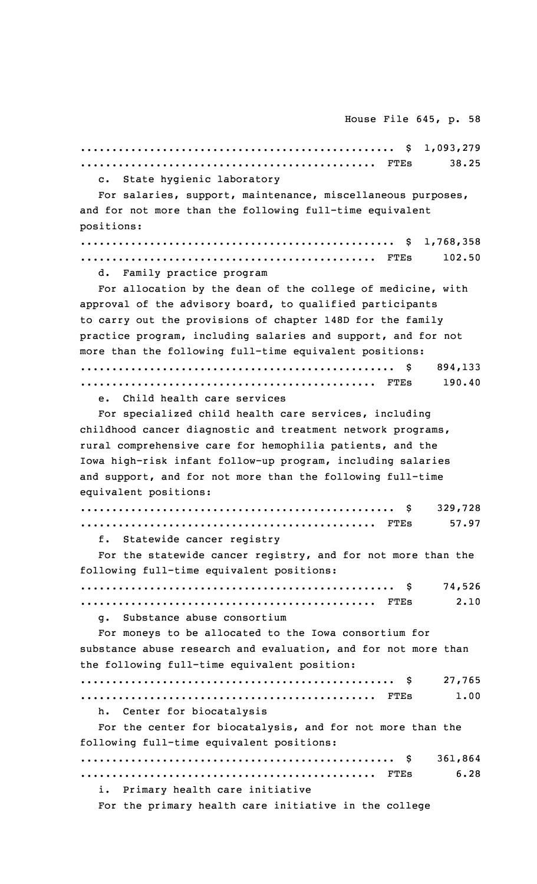.................................................. \$ 1,093,279 ............................................... FTEs 38.25 c. State hygienic laboratory For salaries, support, maintenance, miscellaneous purposes, and for not more than the following full-time equivalent positions: .................................................. \$ 1,768,358 ............................................... FTEs 102.50 d. Family practice program For allocation by the dean of the college of medicine, with approval of the advisory board, to qualified participants to carry out the provisions of chapter 148D for the family practice program, including salaries and support, and for not more than the following full-time equivalent positions: .................................................. \$ 894,133 ............................................... FTEs 190.40 e. Child health care services For specialized child health care services, including childhood cancer diagnostic and treatment network programs, rural comprehensive care for hemophilia patients, and the Iowa high-risk infant follow-up program, including salaries and support, and for not more than the following full-time equivalent positions: .................................................. \$ 329,728 ............................................... FTEs 57.97 f. Statewide cancer registry For the statewide cancer registry, and for not more than the following full-time equivalent positions: .................................................. \$ 74,526 ............................................... FTEs 2.10 g. Substance abuse consortium For moneys to be allocated to the Iowa consortium for substance abuse research and evaluation, and for not more than the following full-time equivalent position: .................................................. \$ 27,765 ............................................... FTEs 1.00 h. Center for biocatalysis For the center for biocatalysis, and for not more than the following full-time equivalent positions: .................................................. \$ 361,864 ............................................... FTEs 6.28 i. Primary health care initiative For the primary health care initiative in the college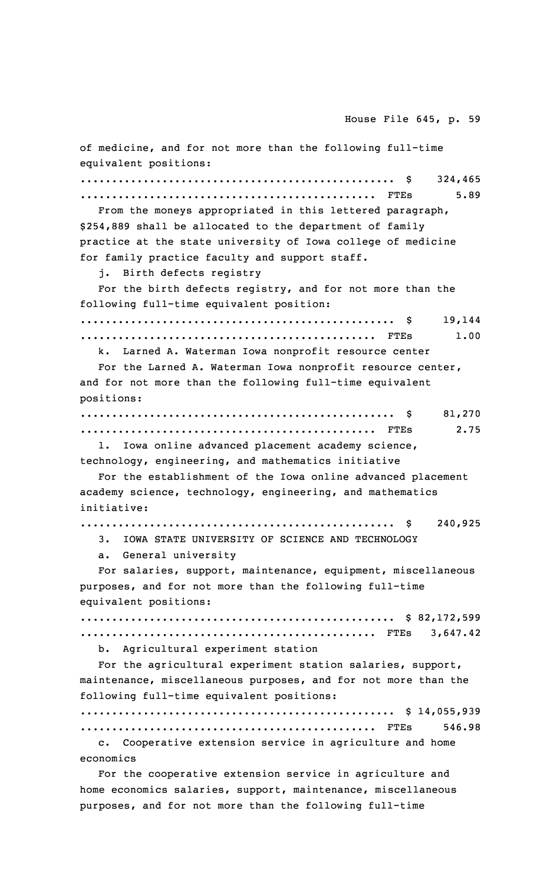of medicine, and for not more than the following full-time equivalent positions: .................................................. \$ 324,465 ............................................... FTEs 5.89 From the moneys appropriated in this lettered paragraph, \$254,889 shall be allocated to the department of family practice at the state university of Iowa college of medicine for family practice faculty and support staff. j. Birth defects registry For the birth defects registry, and for not more than the following full-time equivalent position: .................................................. \$ 19,144 ............................................... FTEs 1.00 k. Larned A. Waterman Iowa nonprofit resource center For the Larned A. Waterman Iowa nonprofit resource center, and for not more than the following full-time equivalent positions: .................................................. \$ 81,270 ............................................... FTEs 2.75 l. Iowa online advanced placement academy science, technology, engineering, and mathematics initiative For the establishment of the Iowa online advanced placement academy science, technology, engineering, and mathematics initiative: .................................................. \$ 240,925 3. IOWA STATE UNIVERSITY OF SCIENCE AND TECHNOLOGY a. General university For salaries, support, maintenance, equipment, miscellaneous purposes, and for not more than the following full-time equivalent positions: .................................................. \$ 82,172,599 ............................................... FTEs 3,647.42 b. Agricultural experiment station For the agricultural experiment station salaries, support, maintenance, miscellaneous purposes, and for not more than the following full-time equivalent positions: .................................................. \$ 14,055,939 ............................................... FTEs 546.98 c. Cooperative extension service in agriculture and home economics For the cooperative extension service in agriculture and home economics salaries, support, maintenance, miscellaneous

purposes, and for not more than the following full-time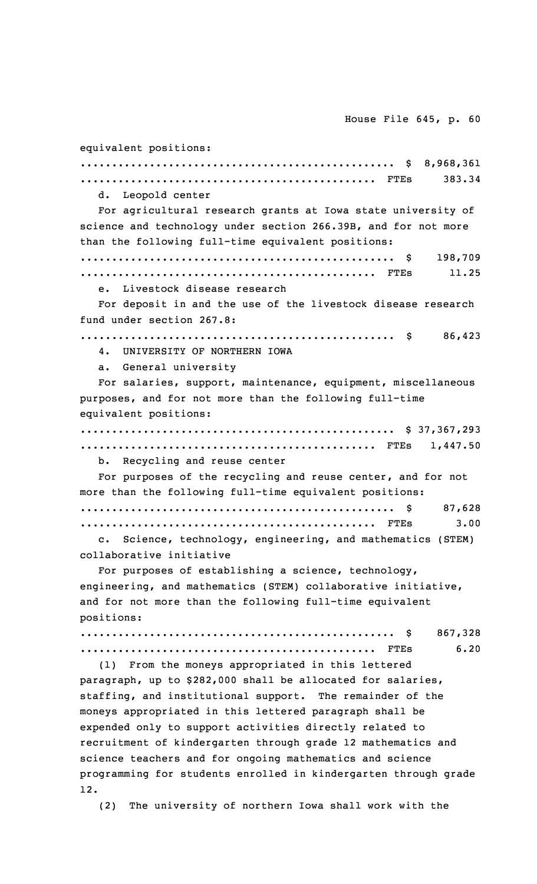equivalent positions: .................................................. \$ 8,968,361 ............................................... FTEs 383.34 d. Leopold center For agricultural research grants at Iowa state university of science and technology under section 266.39B, and for not more than the following full-time equivalent positions: .................................................. \$ 198,709 ............................................... FTEs 11.25 e. Livestock disease research For deposit in and the use of the livestock disease research fund under section 267.8: .................................................. \$ 86,423 4. UNIVERSITY OF NORTHERN IOWA a. General university For salaries, support, maintenance, equipment, miscellaneous purposes, and for not more than the following full-time equivalent positions: .................................................. \$ 37,367,293 ............................................... FTEs 1,447.50 b. Recycling and reuse center For purposes of the recycling and reuse center, and for not more than the following full-time equivalent positions: .................................................. \$ 87,628 ............................................... FTEs 3.00 c. Science, technology, engineering, and mathematics (STEM) collaborative initiative For purposes of establishing <sup>a</sup> science, technology, engineering, and mathematics (STEM) collaborative initiative, and for not more than the following full-time equivalent positions: .................................................. \$ 867,328 ............................................... FTEs 6.20 (1) From the moneys appropriated in this lettered paragraph, up to \$282,000 shall be allocated for salaries, staffing, and institutional support. The remainder of the moneys appropriated in this lettered paragraph shall be expended only to support activities directly related to recruitment of kindergarten through grade 12 mathematics and science teachers and for ongoing mathematics and science programming for students enrolled in kindergarten through grade 12. (2) The university of northern Iowa shall work with the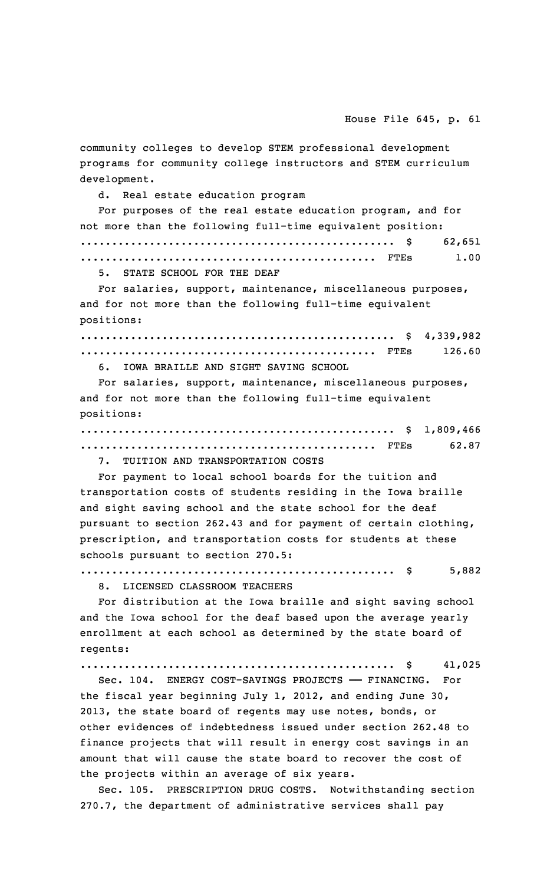community colleges to develop STEM professional development programs for community college instructors and STEM curriculum development.

d. Real estate education program

For purposes of the real estate education program, and for not more than the following full-time equivalent position: .................................................. \$ 62,651 ............................................... FTEs 1.00

5. STATE SCHOOL FOR THE DEAF

For salaries, support, maintenance, miscellaneous purposes, and for not more than the following full-time equivalent positions:

.................................................. \$ 4,339,982 ............................................... FTEs 126.60

6. IOWA BRAILLE AND SIGHT SAVING SCHOOL

For salaries, support, maintenance, miscellaneous purposes, and for not more than the following full-time equivalent positions:

.................................................. \$ 1,809,466 ............................................... FTEs 62.87

7. TUITION AND TRANSPORTATION COSTS

For payment to local school boards for the tuition and transportation costs of students residing in the Iowa braille and sight saving school and the state school for the deaf pursuant to section 262.43 and for payment of certain clothing, prescription, and transportation costs for students at these schools pursuant to section 270.5:

.................................................. \$ 5,882

8. LICENSED CLASSROOM TEACHERS

For distribution at the Iowa braille and sight saving school and the Iowa school for the deaf based upon the average yearly enrollment at each school as determined by the state board of regents:

.................................................. \$ 41,025

Sec. 104. ENERGY COST-SAVINGS PROJECTS —— FINANCING. For the fiscal year beginning July 1, 2012, and ending June 30, 2013, the state board of regents may use notes, bonds, or other evidences of indebtedness issued under section 262.48 to finance projects that will result in energy cost savings in an amount that will cause the state board to recover the cost of the projects within an average of six years.

Sec. 105. PRESCRIPTION DRUG COSTS. Notwithstanding section 270.7, the department of administrative services shall pay